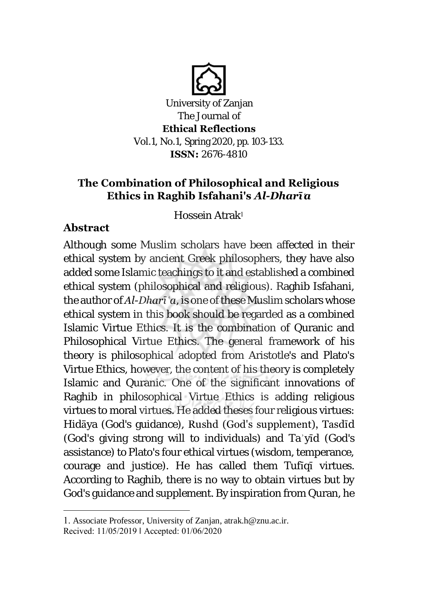

**Ethical Reflections** Vol.1, No.1, Spring 2020, pp. 103-133. **ISSN:** 2676-4810

# **The Combination of Philosophical and Religious Ethics in Raghib Isfahani's** *Al-Dharī***ʿ***a*

Hossein Atrak<sup>1</sup>

# **Abstract**

 $\overline{a}$ 

Although some Muslim scholars have been affected in their ethical system by ancient Greek philosophers, they have also added some Islamic teachings to it and established a combined ethical system (philosophical and religious). Raghib Isfahani, the author of *Al-Dharīʿa*, is one of these Muslim scholars whose ethical system in this book should be regarded as a combined Islamic Virtue Ethics. It is the combination of Quranic and Philosophical Virtue Ethics. The general framework of his theory is philosophical adopted from Aristotle's and Plato's Virtue Ethics, however, the content of his theory is completely Islamic and Quranic. One of the significant innovations of Raghib in philosophical Virtue Ethics is adding religious virtues to moral virtues. He added theses four religious virtues: Hidāya (God's guidance), Rushd (God's supplement), Tasdīd (God's giving strong will to individuals) and Taʾyīd (God's assistance) to Plato's four ethical virtues (wisdom, temperance, courage and justice). He has called them Tufīqī virtues. According to Raghib, there is no way to obtain virtues but by God's guidance and supplement. By inspiration from Quran, he

<sup>1</sup>. Associate Professor, University of Zanjan, atrak.h@znu.ac.ir. Recived: 11/05/2019 ǁ Accepted: 01/06/2020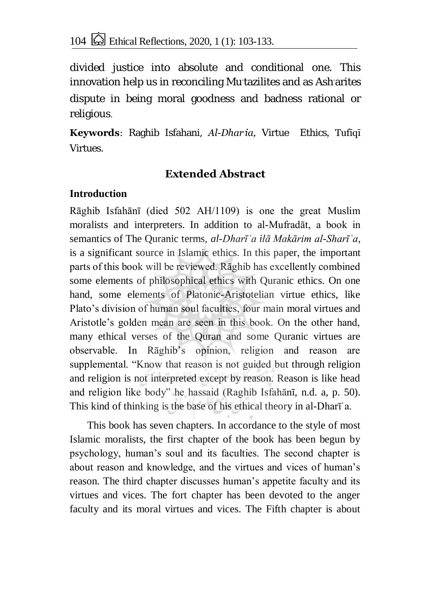divided justice into absolute and conditional one. This innovation help us in reconciling Mutazilites and as Asharites dispute in being moral goodness and badness rational or religious.

**Keywords**: Raghib Isfahani, *Al-Dhar*ʿ*ia,* Virtue Ethics, Tufīqī Virtues.

## **Extended Abstract**

### **Introduction**

Rāghib Isfahānī (died 502 AH/1109) is one the great Muslim moralists and interpreters. In addition to al-Mufradāt, a book in semantics of The Quranic terms, *al-Dharīʿa ilā Makārim al-Sharīʿa*, is a significant source in Islamic ethics. In this paper, the important parts of this book will be reviewed. Rāghib has excellently combined some elements of philosophical ethics with Quranic ethics. On one hand, some elements of Platonic-Aristotelian virtue ethics, like Plato's division of human soul faculties, four main moral virtues and Aristotle's golden mean are seen in this book. On the other hand, many ethical verses of the Quran and some Quranic virtues are observable. In Rāghib's opinion, religion and reason are supplemental. "Know that reason is not guided but through religion and religion is not interpreted except by reason. Reason is like head and religion like body" he hassaid (Raghib Isfahānī, n.d. a, p. 50). This kind of thinking is the base of his ethical theory in al-Dharīʿa.

This book has seven chapters. In accordance to the style of most Islamic moralists, the first chapter of the book has been begun by psychology, human's soul and its faculties. The second chapter is about reason and knowledge, and the virtues and vices of human's reason. The third chapter discusses human's appetite faculty and its virtues and vices. The fort chapter has been devoted to the anger faculty and its moral virtues and vices. The Fifth chapter is about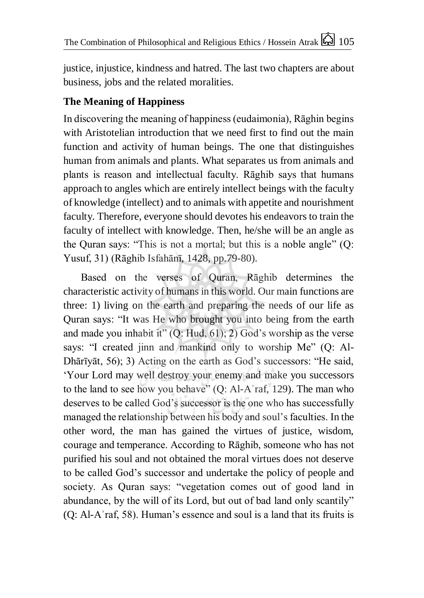justice, injustice, kindness and hatred. The last two chapters are about business, jobs and the related moralities.

## **The Meaning of Happiness**

In discovering the meaning of happiness (eudaimonia), Rāghin begins with Aristotelian introduction that we need first to find out the main function and activity of human beings. The one that distinguishes human from animals and plants. What separates us from animals and plants is reason and intellectual faculty. Rāghib says that humans approach to angles which are entirely intellect beings with the faculty of knowledge (intellect) and to animals with appetite and nourishment faculty. Therefore, everyone should devotes his endeavors to train the faculty of intellect with knowledge. Then, he/she will be an angle as the Quran says: "This is not a mortal; but this is a noble angle" (Q: Yusuf, 31) (Rāghib Isfahānī, 1428, pp.79-80).

Based on the verses of Quran, Rāghib determines the characteristic activity of humans in this world. Our main functions are three: 1) living on the earth and preparing the needs of our life as Quran says: "It was He who brought you into being from the earth and made you inhabit it"  $(Q: Hud, 61)$ ; 2) God's worship as the verse says: "I created jinn and mankind only to worship Me" (Q: Al-Dhārīyāt, 56); 3) Acting on the earth as God's successors: "He said, 'Your Lord may well destroy your enemy and make you successors to the land to see how you behave" (Q: Al-Aʾraf, 129). The man who deserves to be called God's successor is the one who has successfully managed the relationship between his body and soul's faculties. In the other word, the man has gained the virtues of justice, wisdom, courage and temperance. According to Rāghib, someone who has not purified his soul and not obtained the moral virtues does not deserve to be called God's successor and undertake the policy of people and society. As Quran says: "vegetation comes out of good land in abundance, by the will of its Lord, but out of bad land only scantily" (Q: Al-Aʾraf, 58). Human's essence and soul is a land that its fruits is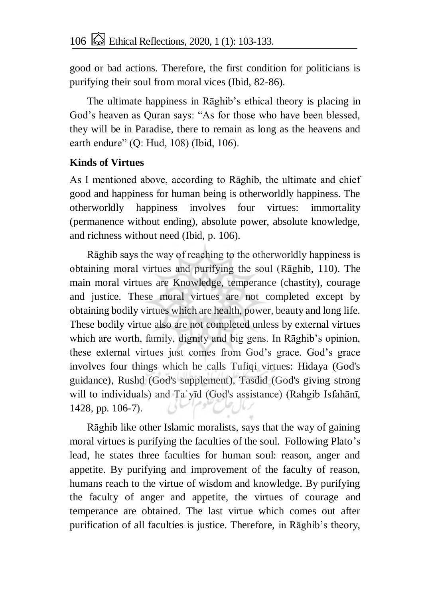good or bad actions. Therefore, the first condition for politicians is purifying their soul from moral vices (Ibid, 82-86).

The ultimate happiness in Rāghib's ethical theory is placing in God's heaven as Quran says: "As for those who have been blessed, they will be in Paradise, there to remain as long as the heavens and earth endure" (Q: Hud, 108) (Ibid, 106).

### **Kinds of Virtues**

As I mentioned above, according to Rāghib, the ultimate and chief good and happiness for human being is otherworldly happiness. The otherworldly happiness involves four virtues: immortality (permanence without ending), absolute power, absolute knowledge, and richness without need (Ibid, p. 106).

Rāghib says the way of reaching to the otherworldly happiness is obtaining moral virtues and purifying the soul (Rāghib, 110). The main moral virtues are Knowledge, temperance (chastity), courage and justice. These moral virtues are not completed except by obtaining bodily virtues which are health, power, beauty and long life. These bodily virtue also are not completed unless by external virtues which are worth, family, dignity and big gens. In Rāghib's opinion, these external virtues just comes from God's grace. God's grace involves four things which he calls Tufiqi virtues: Hidaya (God's guidance), Rushd (God's supplement), Tasdid (God's giving strong will to individuals) and Taʾyīd (God's assistance) (Rahgib Isfahānī, 1428, pp. 106-7).

Rāghib like other Islamic moralists, says that the way of gaining moral virtues is purifying the faculties of the soul. Following Plato's lead, he states three faculties for human soul: reason, anger and appetite. By purifying and improvement of the faculty of reason, humans reach to the virtue of wisdom and knowledge. By purifying the faculty of anger and appetite, the virtues of courage and temperance are obtained. The last virtue which comes out after purification of all faculties is justice. Therefore, in Rāghib's theory,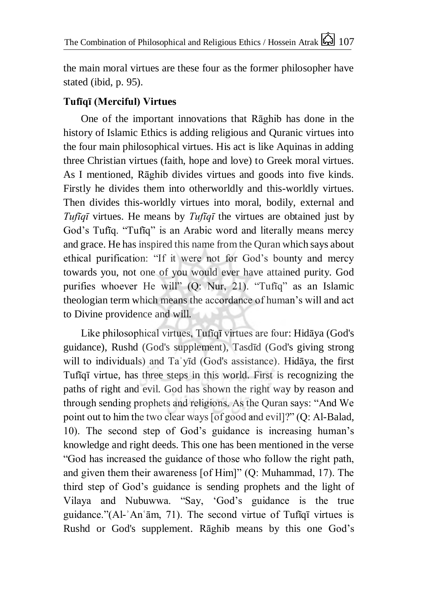the main moral virtues are these four as the former philosopher have stated (ibid, p. 95).

## **Tufīqī (Merciful) Virtues**

One of the important innovations that Rāghib has done in the history of Islamic Ethics is adding religious and Quranic virtues into the four main philosophical virtues. His act is like Aquinas in adding three Christian virtues (faith, hope and love) to Greek moral virtues. As I mentioned, Rāghib divides virtues and goods into five kinds. Firstly he divides them into otherworldly and this-worldly virtues. Then divides this-worldly virtues into moral, bodily, external and *Tufīqī* virtues. He means by *Tufīqī* the virtues are obtained just by God's Tufīq. "Tufīq" is an Arabic word and literally means mercy and grace. He has inspired this name from the Quran which says about ethical purification: "If it were not for God's bounty and mercy towards you, not one of you would ever have attained purity. God purifies whoever He will" (Q: Nur, 21). "Tufīq" as an Islamic theologian term which means the accordance of human's will and act to Divine providence and will.

Like philosophical virtues, Tufīqī virtues are four: Hidāya (God's guidance), Rushd (God's supplement), Tasdīd (God's giving strong will to individuals) and Ta'yīd (God's assistance). Hidāya, the first Tufīqī virtue, has three steps in this world. First is recognizing the paths of right and evil. God has shown the right way by reason and through sending prophets and religions. As the Quran says: "And We point out to him the two clear ways [of good and evil]?" (Q: Al-Balad, 10). The second step of God's guidance is increasing human's knowledge and right deeds. This one has been mentioned in the verse "God has increased the guidance of those who follow the right path, and given them their awareness [of Him]" (Q: Muhammad, 17). The third step of God's guidance is sending prophets and the light of Vilaya and Nubuwwa. "Say, 'God's guidance is the true guidance."(Al-ʾAnʿām, 71). The second virtue of Tufīqī virtues is Rushd or God's supplement. Rāghib means by this one God's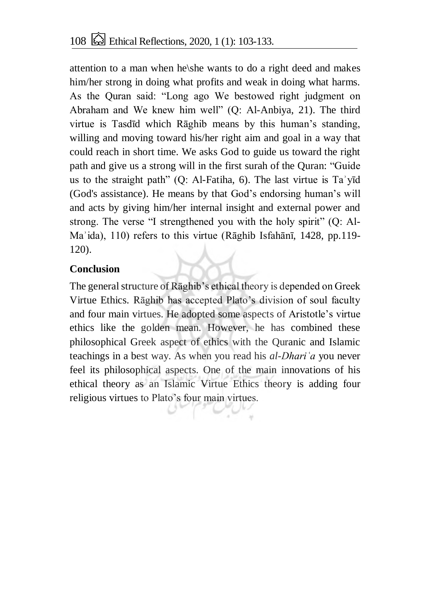attention to a man when he\she wants to do a right deed and makes him/her strong in doing what profits and weak in doing what harms. As the Quran said: "Long ago We bestowed right judgment on Abraham and We knew him well" (Q: Al-Anbiya, 21). The third virtue is Tasdīd which Rāghib means by this human's standing, willing and moving toward his/her right aim and goal in a way that could reach in short time. We asks God to guide us toward the right path and give us a strong will in the first surah of the Quran: "Guide us to the straight path" (Q: Al-Fatiha, 6). The last virtue is Taʾyīd (God's assistance). He means by that God's endorsing human's will and acts by giving him/her internal insight and external power and strong. The verse "I strengthened you with the holy spirit" (Q: Al-Maʾida), 110) refers to this virtue (Rāghib Isfahānī, 1428, pp.119- 120).

### **Conclusion**

The general structure of Rāghib's ethical theory is depended on Greek Virtue Ethics. Rāghib has accepted Plato's division of soul faculty and four main virtues. He adopted some aspects of Aristotle's virtue ethics like the golden mean. However, he has combined these philosophical Greek aspect of ethics with the Quranic and Islamic teachings in a best way. As when you read his *al-Dhariʿa* you never feel its philosophical aspects. One of the main innovations of his ethical theory as an Islamic Virtue Ethics theory is adding four religious virtues to Plato's four main virtues.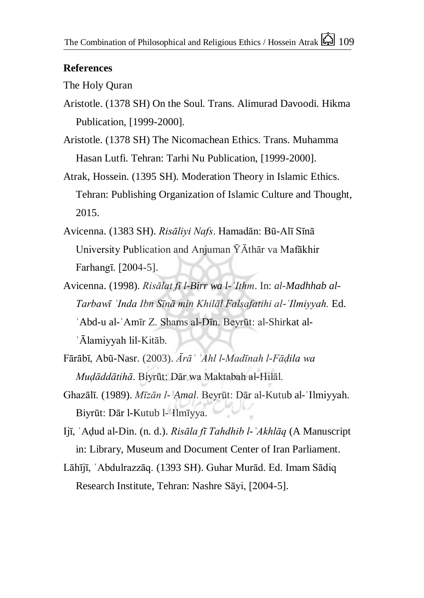#### **References**

#### The Holy Quran

- Aristotle. (1378 SH) On the Soul. Trans. Alimurad Davoodi. Hikma Publication, [1999-2000].
- Aristotle. (1378 SH) The Nicomachean Ethics. Trans. Muhamma Hasan Lutfi. Tehran: Tarhi Nu Publication, [1999-2000].
- Atrak, Hossein. (1395 SH). Moderation Theory in Islamic Ethics. Tehran: Publishing Organization of Islamic Culture and Thought, 2015.
- Avicenna. (1383 SH). *Risāliyi Nafs*. Hamadān: Bū-Alī Sīnā University Publication and Anjuman  $\bar{Y}$ Āthār va Mafākhir Farhangī. [2004-5].
- Avicenna. (1998). *Risālat fī l-Birr wa l-ʾIthm*. In: *al-Madhhab al-Tarbawī ʿInda Ibn Sīnā min Khilāl Falsafatihi al-ʿIlmiyyah.* Ed. ʿAbd-u al-ʾAmīr Z. Shams al-Dīn. Beyrūt: al-Shirkat al-ʾĀlamiyyah lil-Kitāb.
- Fārābī, Abū-Nasr. (2003). *Ārāʾ ʾAhl l-Madīnah l-Fāḍila wa Muḍāddātihā*. Biyrūt: Dār wa Maktabah al-Hilāl.
- Ghazālī. (1989). *Mīzān l-ʿAmal*. Beyrūt: Dār al-Kutub al-ʿIlmiyyah. Biyrūt: Dār l-Kutub l-ʿIlmīyya.
- Ijī, ʿAḍud al-Din. (n. d.). *Risāla fī Tahdhib l-ʾAkhlāq* (A Manuscript in: Library, Museum and Document Center of Iran Parliament.
- Lāhījī, ʿAbdulrazzāq. (1393 SH). Guhar Murād. Ed. Imam Sādiq Research Institute, Tehran: Nashre Sāyi, [2004-5].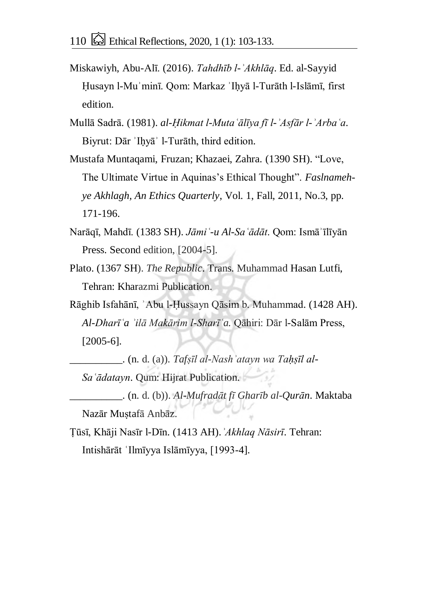- Miskawiyh, Abu-Alī. (2016). *Tahdhīb l-ʾAkhlāq*. Ed. al-Sayyid Ḥusayn l-Muʾminī. Qom: Markaz ʾIḥyā l-Turāth l-Islāmī, first edition.
- Mullā Sadrā. (1981). *al-Ḥikmat l-Mutaʿālīya fī l-ʾAsfār l-ʾArbaʿa*. Biyrut: Dār 'Ihyā' 1-Turāth, third edition.
- Mustafa Muntaqami, Fruzan; Khazaei, Zahra. (1390 SH). "Love, The Ultimate Virtue in Aquinas's Ethical Thought". *Faslnamehye Akhlagh, An Ethics Quarterly*, Vol. 1, Fall, 2011, No.3, pp. 171-196.
- Narāqī, Mahdī. (1383 SH). *Jāmiʿ-u Al-Saʿādāt*. Qom: Ismāʾīlīyān Press. Second edition, [2004-5].
- Plato. (1367 SH). *The Republic*. Trans. Muhammad Hasan Lutfi, Tehran: Kharazmi Publication.
- Rāghib Isfahānī, ʾAbu l-Ḥussayn Qāsim b. Muhammad. (1428 AH). *Al-Dharīʿa ʾilā Makārim l-Sharīʿa.* Qāhiri: Dār l-Salām Press, [2005-6].

\_\_\_\_\_\_\_\_\_\_. (n. d. (a)). *Tafṣīl al-Nashʾatayn wa Taḥṣīl al-Saʿādatayn*. Qum: Hijrat Publication.

\_\_\_\_\_\_\_\_\_\_. (n. d. (b)). *Al-Mufradāt fī Gharīb al-Qurān*. Maktaba Nazār Muṣtafā Anbāz.

Ṭūsī, Khāji Nasīr l-Dīn. (1413 AH).*ʾAkhlaq Nāsirī*. Tehran: Intishārāt ʿIlmīyya Islāmīyya, [1993-4].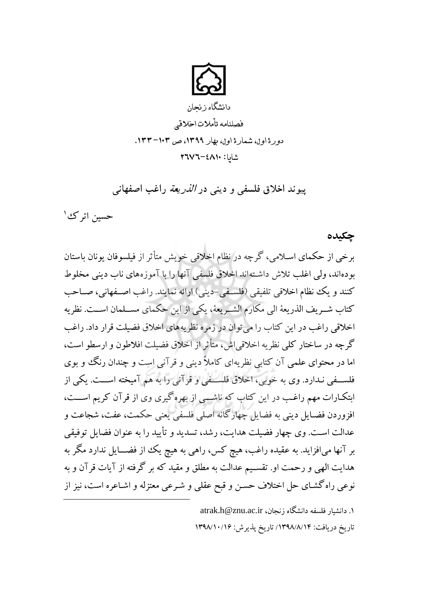

دانشگاه زنجان فصلنامه تأمالت اخالقی دورة اول، شمارة اول، بهار ١٣٩٩، ص ١٣٣-١٣٣. 0190-6262شاپا:

**پیوند اخالق فلسفی و دینی در الذریعة راغب اصفهانی** 

حسین اترک<sup>ی ۱</sup>

**چکیده**

برخی از حکمای اسلامی، گرچه در نظام اخلاقی خویش متأثر از فیلسوفان یونان باستان بودهاند، ولی اغلب تلاش داشتهاند اخلاق فلسفی آنها را با آموزههای ناب دینی مخلوط کنند و یک نظام اخلاقی تلفیقی (فلسفی-دینی) ارائه نمایند. راغب اصـفهانی، صـاحب كتاب شــريف الذريعهٔ الی مكارم الشــريعهٔ، يكي از اين حكماي مســلمان اســت. نظريه اخلاقی راغب در این کتاب را می توان در زمره نظریههای اخلاق فضیلت قرار داد. راغب گر چه در ساختار کلی نظریه اخلاقی اش، متأثر از اخلاق فضیلت افلاطون و ارسطو است، اما در محتوای علمی آن کتابی نظریهای کاملاً دینی و قرآنی است و چندان رنگ و بوی فلســفی نـدارد. وی به خوبی، اخلاق فلســفی و قرآنی را به هم آمیخته اســـت. یکی از ابتکارات مهم راغب در این کتاب که ناشمی از بهره گیری وی از قرآن کریم اســت، افزوردن فضـایل دینی به فضایل چهارگانه اصلی فلسفی یعنی حکمت، عفت، شجاعت و عدالت است. وی چهار فضیلت هدایت، رشد، تسدید و تأیید را به عنوان فضایل توفیقی بر آنها میافزاید. به عقیده راغب، هیچ کس، راهی به هیچ یک از فضـــایل ندارد مگر به هدایت الهی و رحمت او. تقسـیم عدالت به مطلق و مقید که بر گرفته از آیات قرآن و به نوعی راه گشـای حل اختلاف حسـن و قبح عقلی و شـرعی معتزله و اشـاعره است، نیز از  $\overline{a}$ 

> ۱. دانشیار فلسفه دانشگاه زنجان، atrak.h@znu.ac.ir تاريخ دريافت: ١٣٩٨/٨/١٤ تاريخ پذيرش: ١٣٩٨/١٠/١۶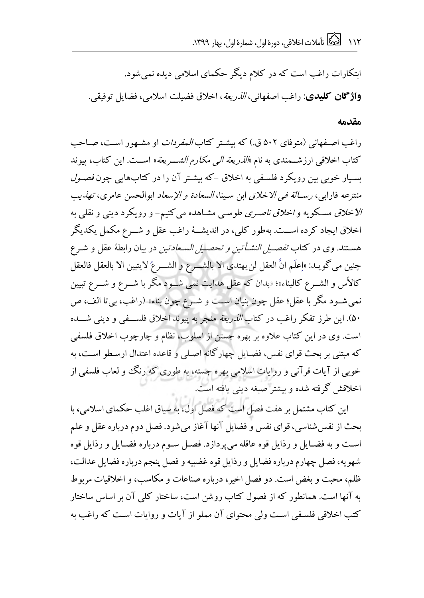ابتکارات راغب است که در کلام دیگر حکمای اسلامی دیده نمی شود. **واژگان کلیدی**: راغب اصفهانی، *الذریعة*، اخلاق فضیلت اسلامی، فضایل توفیقی.

#### **مقدمه**

داغب اصلفهانی (متوفای ۵۰۲ ق.) که بیشتر کتاب *المفردات* او مشهور است، صیاحب کتاب اخلاقی ارزشـمندی به نام *«الذریعة الی مکارم الشـــریعة*» اســت. این کتاب، پیوند بسیار خوبی بین رویکرد فلسفی به اخلاق -که بیشتر آن را در کتابهایی چون *فصول* منتزعه فارابی، ر*ســالة في الاخلاق* ابن سـينا، *السعادة و الإسعاد* ابوالحسن عامری، ت*هذيب* الاخلاق مسکویه و *اخلاق ناصری* طوسی مشـاهده می کنیم- و رویکرد دینی و نقلبی به اخلاق ایجاد کرده اسـت. بهطور کلبی، در اندیشــهٔ راغب عقل و شــرع مکمل یکدیگر هسـتند. وی در کتاب *تفصــیل النشــأتین و تحصـ<mark>ـ</mark>ـیل الســعادتین* در بیان رابطهٔ عقل و شــرع چنین می گویـد: «اِعلَم انَّ العقل لن یهتدی الا بالشـــرع و الشـــرعُ لایتبین الا بالعقل فالعقل کالأس و الشـــرع کالبناء»؛ «بدان که عقل هدایت نمی شـــود مگر با شـــرع و شـــرع تبیین نمی شـود مگر با عقل؛ عقل چون بنیان اســت و شــرع چون بناء» (راغب، بی تا الف، ص ۵۰). این طرز تفکر راغب در کتاب *الذریعة* منجر به پیوند اخلاق فلســفی و دینی شـــده است. وی در این کتاب علاوه بر بهره جستن از اسلوب، نظام و چارچوب اخلاق فلسفی که مبتنی بر بحث قوای نفس، فضایل چهارگانه اصلی و قاعده اعتدال ارسطو است، به خوبی از آیات قرآنی و روایات اسلامی بهره جسته، به طوری که رنگ و لعاب فلسفی از اخلاقش گرفته شده و بیشتر صبغه دینی یافته است.

این کتاب مشتمل بر هفت فصل است که فصل اول، به سیاق اغلب حکمای اسلامی، با بحث از نفس شناسی، قوای نفس و فضایل آنها آغاز می شود. فصل دوم درباره عقل و علم است و به فضـایل و رذایل قوه عاقله می پردازد. فصـل سـوم درباره فضـایل و رذایل قوه شهو یه، فصل چهارم درباره فضایل و رذایل قوه غضبیه و فصل پنجم درباره فضایل عدالت، ظلم، محبت و بغض است. دو فصل اخیر، درباره صناعات و مکاسب، و اخلاقیات مربوط به آنها است. همانطور که از فصول کتاب روشن است، ساختار کلی آن بر اساس ساختار کتب اخلاقی فلسفی است ولی محتوای آن مملو از آیات و روایات است که راغب به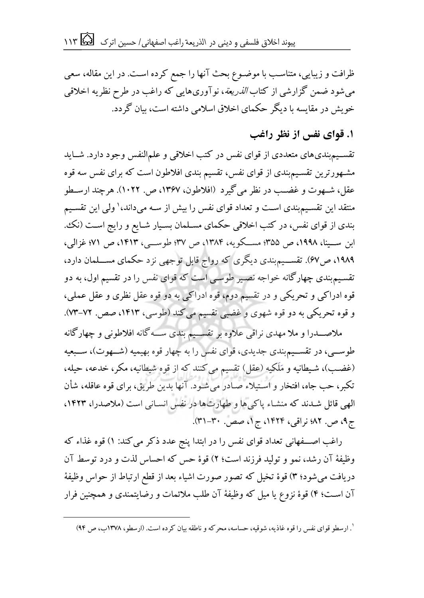ظرافت و زیبایی، متناسب با موضـوع بحث آنها را جمع کرده اسـت. در این مقاله، سعی می شود ضمن گزارشی از کتاب *الذریعة*، نوآوریهایی که راغب در طرح نظریه اخلاقی خویش در مقایسه با دیگر حکمای اخلاق اسلامی داشته است، بیان گردد.

**.1 قوای نفس از نظر راغب**

تقســیم بندی های متعددی از قوای نفس در کتب اخلاقی و علمالنفس وجود دارد. شــاید مشهورترین تقسیم بندی از قوای نفس، تقسیم بندی افلاطون است که برای نفس سه قوه عقل، شــهوت و غضــب در نظر می گیرد (افلاطون، ۱۳۶۷، ص. ۱۰۲۲). هرچند ارســطو منتقد این تقسیم؛بندی اسـت و تعداد قوای نفس را بیش از سـه میداند،' ولی این تقسـیم بندی از قوای نفس، در کتب اخلاقی حکمای مسـلمان بسـیار شـایع و رایج اسـت (نک، ابن ســينا، ١٩٩٨، ص ٣۵۵؛ مســكويه، ١٣٨۴، ص ٣٧؛ طوســي، ١٤١٣، ص ٧١؛ غزالی، ۱۹۸۹، ص۶۷). تقســیم بندی دیگری که رواج قابل توجهی نزد حکمای مســـلمان دارد، تقسیم بندی چهارگانه خواجه نصیر طوسی است که قوای نفس را در تقسیم اول، به دو قوه ادراکی و تحریکی و در تقسیم دوم، قوه ادراکی به دو قوه عقل نظری و عقل عملی، و قوه تحریکی به دو قوه شهوی و غضبی تقسیم می کند (طوسی، ۱۴۱۳، صص. ۷۲–۷۳).

ملاصــــدرا و ملا مهدی نراقی علاوه بر تقســـیم بندی ســــه گانه افلاطونی و چهارگانه طوســـی، در تقســـیم؛ندی جدیدی، قوای نفس را به چهار قوه بهیمیه (شـــهوت)، ســـبعیه (غضب)، شیطانیه و مَلَکیه (عقل) تقسیم می کنند که از قوه شیطانیه، مکر، خدعه، حیله، تکبر، حب جاه، افتخار و استیلاء صادر می شـود. آنها بدین طریق، برای قوه عاقله، شأن الهی قائل شدند که منشاء پاکی ها و طهارت ها در نفس انسانی است (ملاصدرا، ۱۴۲۳، ج۹، ص. ۸۲؛ نراقی، ۱۴۲۴، ج۱، صص. ۳۰-۳۱).

راغب اصـــفهانی تعداد قوای نفس را در ابتدا پنج عدد ذکر می کند: ۱) قوه غذاء که وظیفهٔ آن رشد، نمو و تولید فرزند است؛ ۲) قوهٔ حس که احساس لذت و درد توسط آن دریافت می شود؛ ۳) قوهٔ تخیل که تصور صورت اشیاء بعد از قطع ارتباط از حواس وظیفهٔ آن است؛ ۴) قوهٔ نزوع یا میل که وظیفهٔ آن طلب ملائمات و رضایتمندی و همچنین فرار

 $\overline{a}$ 

<sup>&#</sup>x27;. ارسطو قوای نفس را قوه غاذیه، شوقیه، حساسه، محرکه و ناطقه بیان کرده است. (ارسطو، ۱۳۷۸ب، ص ۹۴)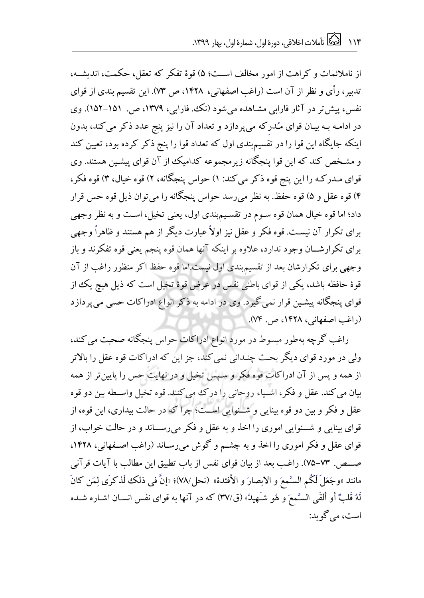از ناملائمات و کراهت از امور مخالف اسـت؛ ۵) قوهٔ تفکر که تعقل، حکمت، اندیشــه، تدبیر، رأی و نظر از آن است (راغب اصفهانی، ۱۴۲۸، ص ۷۳). این تقسیم بندی از قوای نفس، پیش تر در آثار فارابی مشاهده می شود (نک، فارابی، ۱۳۷۹، ص. ۱۵۱–۱۵۲). وی در ادامـه بـه بیـان قوای مـُدركه می پردازد و تعداد آن را نیز پنج عدد ذكر می كند، بدون اینکه جایگاه این قوا را در تقسیمبندی اول که تعداد قوا را پنج ذکر کرده بود، تعیین کند و مشـخص کند که این قوا پنجگانه زیرمجموعه کدامیک از آن قوای پیشـین هستند. وی قوای مـدرکـه را این پنج قوه ذکر می کند: ۱) حواس پنجگانه، ۲) قوه خیال، ۳) قوه فکر، ۴) قوه عقل و ۵) قوه حفظ. به نظر می رسد حواس پنجگانه را می توان ذیل قوه حس قرار داد؛ اما قوه خیال همان قوه سـوم در تقسـیمبندی اول، یعنی تخیل، اسـت و به نظر وجهی برای تکرار آن نیست. قوه فکر و عقل نیز اولاً عبارت دیگر از هم هستند و ظاهراً وجهی برای تکرارشـــان وجود ندارد، علاوه بر اینکه آنها همان قوه پنجم یعنی قوه تفکرند و باز وجهی برای تکرارشان بعد از تقسیم بندی اول نیست.اما قوه حفظ اکر منظور راغب از آن قوهٔ حافظه باشد، یکی از قوای باطنی نفس در عرض قوهٔ تخیل است که ذیل هیچ یک از قوای پنجگانه پیشین قرار نمی گیرد. وی در ادامه به ذکر انواع ادراکات حسی می پردازد (راغب اصفهانی، ۱۴۲۸، ص. ۷۴).

راغب گرچه بهطور مبسوط در مورد انواع ادراکات حواس پنجگانه صحبت می کند، ولی در مورد قوای دیگر بحث چنـدانی نمی کند، جز این که ادراکات قوه عقل را بالاتر از همه و پس از آن ادراکات قوه فکر و سیس تخیل و در نهایت حس را پایین تر از همه بیان می کند. عقل و فکر ، اشـیاء روحانی را درک می کنند. قوه تخیل واسـطه بین دو قوه عقل و فکر و بین دو قوه بینایی و شــنوایی اســت؛ چرا که در حالت بیداری، این قوه، از قوای بینایی و شـــنوایی اموری را اخذ و به عقل و فکر می رســـاند و در حالت خواب، از قوای عقل و فکر اموری را اخذ و به چشـم و گوش میرسـاند (راغب اصـفهانی، ۱۴۲۸. صـص. ٧٣-٧۵). راغب بعد از بیان قوای نفس از باب تطبیق این مطالب با آیات قرآنی مانند «وجَعَلَ لَكُم السَّمعَ و الابصارَ و الأفئدة» (نحل/٧٨)؛ «إنَّ في ذلك لَذكرَى لِمَن كانَ لَهُ قَلبٌ أو ألقَى السَّمعَ و هُو شـَهيدٌ» (ق/٣٧) كه در آنها به قواي نفس انسـان اشـاره شـده است، می گو بد: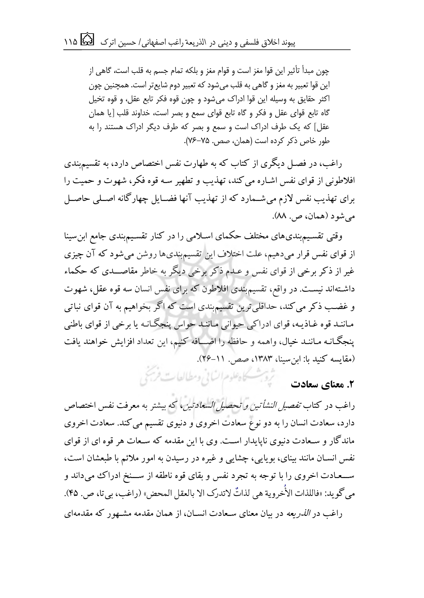چون مبدأ تأثیر این قوا مغز است و قوام مغز و بلکه تمام جسم به قلب است، گاهی از این قوا تعبیر به مغز و گاهی به قلب میشود که تعبیر دوم شایعتر است. همچنین چون اکثر حقایق به وسیله این قوا ادراک میشود و چون قوه فکر تابع عقل، و قوه تخیل گاه تابع قوای عقل و فکر و گاه تابع قوای سمع و بصر است، خداوند قلب ]یا همان عقل[ که یک طرف ادراک است و سمع و بصر که طرف دیگر ادراک هستند را به طور خاص ذکر کرده است )همان، صص 51-57 . (.

راغب، در فصل دیگری از کتاب که به طهارت نفس اختصاص دارد، به تقسیمبندی افلاطونی از قوای نفس اشاره می کند، تهذیب و تطهیر سه قوه فکر، شهوت و حمیت را برای تهذیب نفس لازم می شــمارد که از تهذیب آنها فضــایل چهارگانه اصــلی حاصــل می شو د (همان، ص. ۸۸).

وقتی تقسیم بندی های مختلف حکمای اسلامی را در کنار تقسیم بندی جامع ابن سینا از قوای نفس قرار میدهیم، علت اختلاف این تقسیمبندیها روشن می شود که آن چیزی غیر از ذکر برخی از قوای نفس و عـدم ذکر برخی دیگر به خاطر مقاصـــدی که حکماء داشتهاند نیست. در واقع، تقسیم بندی افلاطون که برای نفس انسان سه قوه عقل، شهوت و غضب ذکر می کند، حداقلی ترین تقسیمبندی است که اگر بخواهیم به آن قوای نباتی ماننـد قوه غـاذیـه، قوای ادراکی حیوانی مـاننـد حواس پنجگـانـه یا برخی از قوای باطنی پنجگـانـه مـاننـد خیال، واهمه و حافظه را اضـــافه کنیم، این تعداد افزایش خواهند یافت (مقایسه کنید با: ابن سینا، ۱۳۸۳، صص. ۱۱-۲۶).

**7. معنای سعادت** میش<del>ه به سطح استان از این وسطالعات فرج ک</del>ی

راغب در کتاب *تفصیل النشأتین و تحصیل السعادتین*، که بیشتر به معرفت نفس اختصاص دارد، سعادت انسان را به دو نوع سعادت اخروی و دنیوی تقسیم می کند. سعادت اخروی ماندگار و سـعادت دنیوی ناپایدار اسـت. وی با این مقدمه که سـعات هر قوه ای از قوای نفس انسـان مانند بینای، بویایی، چشایی و غیره در رسیدن به امور ملائم با طبعشان است، ســعـادت اخروی را با توجه به تجرد نفس و بقای قوه ناطقه از ســـنخ ادراک می داند و مي گويد: «فاللذات الأُخروية هي لذاتٌ لاتدرک الا بالعقل المحض» (راغَب، بيتا، ص. ۴۵).  $\ddot{\phantom{0}}$ ֦֧֦֧ راغب در *الذریعه* در بیان معنای سـعادت انسـان، از همان مقدمه مشـهور که مقدمهای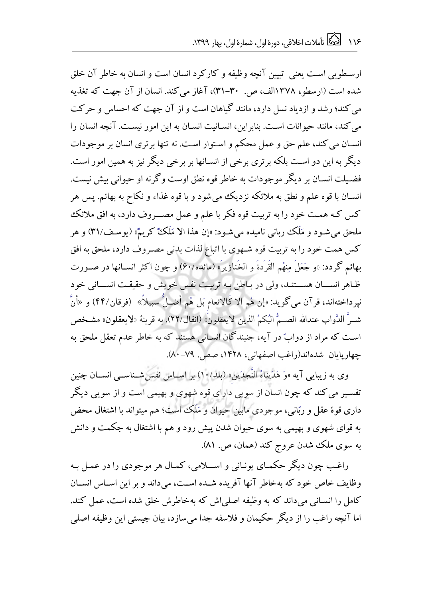ار سطویی است یعنی تسن آنچه وظیفه و کار کرد انسان است و انسان به خاطر آن خلق شده است (ارسطو، ۱۳۷۸الف، ص. ۳۰-۳۱)، آغاز می کند. انسان از آن جهت که تغذیه می کند؛ رشد و از دیاد نسل دارد، مانند گیاهان است و از آن جهت که احساس و حرکت می کند، مانند حیوانات است. بنابراین، انسـانیت انسـان به این امور نیسـت. آنچه انسان را انسـان می کند، علم حق و عمل محکم و اسـتوار اسـت. نه تنها برتری انسان بر موجودات دیگر به این دو است بلکه برتری برخی از انسـانها بر برخی دیگر نیز به همین امور است. فضیلت انسـان بر دیگر موجودات به خاطر قوه نطق اوست وگرنه او حیوانی بیش نیست. انســان با قوه علـم و نطق به ملائكه نزدیک می شود و با قوه غذاء و نکاح به بهائـم. پس هر کس کـه همـت خود را به تربیت قوه فکر با علم و عمل مصـــروف دارد، به افق ملائک ملحق می شـو د و مَلَک ربانی نامیده می شـو د: «إن هذا الا مَلَکٌ کریمٌ» (یو سـف/٣١) و هر کس همت خود را به تربیت قوه شـهوی با اتباع لذات بدنی مصـروف دارد، ملحق به افق بهائم گردد: «و جَعَلَ مِنهُم القَرَدةَ و الخَنازیرَ» (مائده/۶۰) و چون اکثر انســانها در صــورت ظاهر انسسان هسستند، ولی در باطن به تربیت نفس خویش و حقیقت انسسانی خود نيرداختهاند، قر آن مي گويد: «إن هُم الا كَالانعام بَل هُم أضـلٌ سبيلاً» (فرقان/۴۴) و «أنَّ شــرَّ الدَّواب عندالله الصــمُّ البُكمُ الذين لايعقلونَ» (انفال/٢٢). به قرينهٔ «لايعقلون» مشـخص است که مراد از دوابّ در آیه، جنبندگان انسـانی هستند که به خاطر عدم تعقل ملحق به جهاریایان شدهاند(راغب اصفهانی، ۱۴۲۸، صص. ۷۹-۸۰).

وی به زیبایی آیه «وَ هَدَیناهُ النَّجدَین» (بلد/۱۰) بر اسـاس نفس شــناســی انســان چنین تفسیر می کند که چون انسان از سویی دارای قوه شهوی و بهیمی است و از سویی دیگر داری قوهٔ عقل و ربّانی، موجودی مابین حیوان و مَلَک است؛ هم میتواند با اشتغال محض به قوای شهوی و بهیمی به سوی حیوان شدن پیش رود و هم با اشتغال به جکمت و دانش به سوی ملک شدن عروج کند (همان، ص. ۸۱).

راغب چون دیگر حکمای یونانی و اســلامی، کمـال هر موجودی را در عمـل بـه وظایف خاص خود که بهخاطر آنها آفریده شـده اسـت، می داند و بر این اسـاس انسـان کامل را انسـانی می داند که به وظیفه اصلی اش که بهخاطرش خلق شده است، عمل کند. اما آنچه راغب را از دیگر حکیمان و فلاسفه جدا میسازد، بیان چیستی این وظیفه اصلی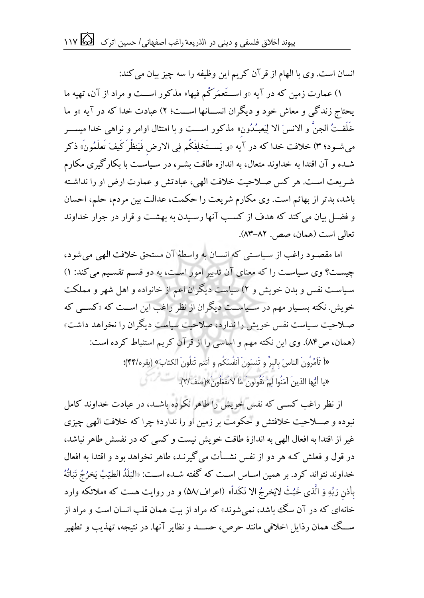انسان است. وی با الهام از قرآن کریم این وظیفه را سه چیز بیان می کند:

۱) عمارت زمین که در آیه «و اســتَعمَرکُم فیها» مذکور اســت و مراد از آن، تهیه ما یحتاج زندگی و معاش خود و دیگران انســـانها اســـت؛ ۲) عبادت خدا که در آیه «و ما خَلَقـتُ الجنَّ و الانسَ الا لِيَعبُـدُون» مذكور اســت و با امتثال اوامر و نواهی خدا میســـر می شــود؛ ۳) خلافت خدا که در آیه «و یَســتَخلِفَکُم فِی الارض فَیَنظُر کَیفَ تَعلَمُونَ» ذکر شـده و آن اقتدا به خداوند متعال، به اندازه طاقت بشـر، در سـیاسـت با بکارگیری مکارم شریعت است. هر کس صلاحیت خلافت الهی، عبادتش و عمارت ارض او را نداشته باشد، بدتر از بهائم است. وی مکارم شریعت را حکمت، عدالت بین مردم، حلم، احسان و فضـل بیان می کند که هدف از کسـب آنها رسـیدن به بهشـت و قرار در جوار خداوند تعالی است (همان، صص. ۸۲-۸۳).

اما مقصود راغب از سیاستی که انسان به واسطهٔ آن مستحق خلافت الهی می شود، چیست؟ وی سیاست را که معنای آن تدبیر امور است، به دو قسم تقسیم می کند: ۱) سیاست نفس و بدن خویش و ۲) سیاست دیگران اعم از خانواده و اهل شهر و مملکت خویش. نکته بسـیار مهم در سـیاســت دیگران از نظر راغب این اســت که «کســی که صـلاحیت سـیاست نفس خویش را ندارد، صلاحیت سیاست دیگران را نخواهد داشت» (همان، ص۸۴). وی این نکته مهم و اساسی را از قرآن کریم استنباط کرده است:

«أَ تَأْمُرُونَ الناس َ بِالبرِّ و تَنسَونَ اَنفُسَكُم و أنتم تَتلُونَ الكتابَ» (بقره/۴۴)؛ «یا أیُّها الذینَ آمَنُوا لِمَ تَقُولونَ مَا لاتَفعَلُونَ»(صف/٢).

از نظر راغب کسبی که نفس خویش را طاهر نکرده باشــد، در عبادت خداوند کامل نبوده و صــلاحیت خلافتش و حکومت بر زمین او را ندارد؛ چرا که خلافت الهی چیزی غیر از اقتدا به افعال الهی به اندازهٔ طاقت خویش نیست و کسی که در نفسش طاهر نباشد، در قول و فعلش کـه هر دو از نفس نشـــأت می گیرنــد، طاهر نخواهد بود و اقتدا به افعال خداوند نتواند کرد. بر همین اســاس اســت که گفته شــده اســت: «البَلَدُ الطیّبُ یَخرُجُ نَبَاتُهُ  $\vdots$ :<br>ن ֧֢ׅ֘ ֚֚֚֬ j,  $\frac{1}{2}$  $\frac{1}{2}$ ֧֘  $\ddot{\phantom{0}}$ ֧֧֦֧֦֧֦֧֦֧֝֟֓֝֝֜֜֜֜֜֜ .<br>Í į .<br>ኋ  $\ddot{\ddot{\cdot}}$ ֪֪֪֪֪֪֪֪֪֪֪֪֪֪֪֪֪֪֪֪֪֪֪֪֪֪֦֪֪֦֪֦֪֪֪֪֪֪֦֪֦֪֦֧֧֧֚֚֚֚֚֚֚֚֚֚֚֚֚֚֚֚֚֚֘֝֓֓֓֓֓֕֓֓֡֬֓֓֓֩֕֩֕֩ <sub>.</sub><br>بِأذنِ رَبِّهِ وَ الَّذى خَبُثَ لايَخرجُ الا نَكَداً» (اعراف/۵۸) و در روايت هست كه «ملائكه وارد .<br>İ :<br>د ֦֧ׅ֡ j  $\mathbf{r}$  $\frac{1}{2}$  $\ddot{\cdot}$ į  $\ddot{\cdot}$ .<br>د ŕ Į ś  $\overline{a}$  $\overline{\phantom{a}}$ ֧֦֧֝֟֓֕֝  $\overline{a}$ í  $\ddot{\phantom{0}}$  $\ddot{\cdot}$ خانهای که در آن سگ باشد، نمی شوند» که مراد از ست همان قلب انسان است و مراد از ســگ همان رذایل اخلاقی مانند حرص، حســـد و نظایر آنها. در نتیجه، تهذیب و تطهیر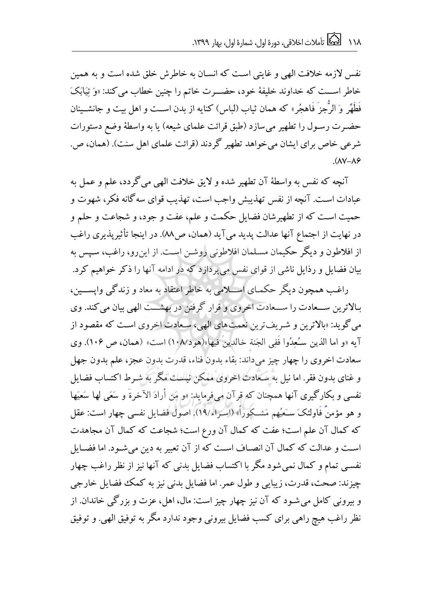نفس لازمه خلافت الهی و غایتی است که انسان به خاطرش خلق شده است و به همین خاطر اســت که خداوند خلیفهٔ خود، حضـــرت خاتم را چنین خطاب می کند: «وَ ثِیَابَکَ فَطَهِّر وَ الرُّجزَ فَاهجُر» كه همان ثياب (لباس) كنايه از بدن اســت و اهل بيت و جانشــينان حضرت رسول را تطهیر می سازد (طبق قرائت علمای شیعه) یا به واسطهٔ وضع دستورات شرعی خاص برای ایشان می خواهد تطهیر گردند (قرائت علمای اهل سنت). (همان، ص.  $(\Delta V - \Delta \hat{z})$ 

آنچه که نفس به واسطهٔ آن تطهیر شده و لایق خلافت الهی می گردد، علم و عمل به عبادات است. آنچه از نفس تهذیبش واجب است، تهذیب قوای سه گانه فکر، شهوت و حمیت است که از تطهیرشان فضایل حکمت و علم، عفت و جود، و شجاعت و حلم و در نهایت از اجتماع آنها عدالت پدید می آید (همان، ص٨٨). در اینجا تأثیریذیری راغب از افلاطون و دیگر حکیمان مسلمان افلاطونی روشـن اسـت. از این٫و، راغب، سـپس به بیان فضایل و رذایل ناشی از قوای نفس می پردازد که در ادامه آنها را ذکر خواهیم کرد.

راغب همچون دیگر حکمـای اســـلامی به خاطر اعتقاد به معاد و زندگی واپســـین، بـالاترین ســعادت را ســعادت اخروی و قرار گرفتن در بهشــت الهی بیان می کند. وی می گوید: «بالاترین و شریفترین نعمت های الهی، سعادت اخروی است که مقصود از آيه «و اما الذين سـُعِدُوا فَفِي الجَنة خالدينَ فيها»(هود١٠٨/) است» (همان، ص ١٠۶). وي سعادت اخروی را چهار چیز میداند: بقاء بدون فناء، قدرت بدون عجز، علم بدون جهل و غنای بدون فقر. اما نیل به سـعادت اخروی ممکن نیسـت مگر به شـرط اکتساب فضایل نفسی و بکارگیری آنها همچنان که قرآن می فرماید: «و مَن أرادَ الآخرةَ و سَعَی لها سَعیَها و هو مؤمنٌ فَاوِلئکَ سَعَیُهم مَشكوراً» (اسراء/١٩). اصول فضایل نفسی چهار است: عقل که کمال آن علم است؛ عفت که کمال آن ورع است؛ شجاعت که کمال آن مجاهدت است و عدالت که کمال آن انصـاف اسـت که از آن تعبیر به دین می شـود. اما فضـایل نفسی تمام و کمال نمی شود مگر با اکتساب فضایل بدنی که آنها نیز از نظر راغب چهار چیزند: صحت، قدرت، زیبایی و طول عمر. اما فضایل بدنی نیز به کمک فضایل خارجی و بیرونی کامل می شـود که آن نیز چهار چیز است: مال، اهل، عزت و بزرگی خاندان. از نظر راغب هیچ راهی برای کسب فضایل بیرونی وجود ندارد مگر به توفیق الهی. و توفیق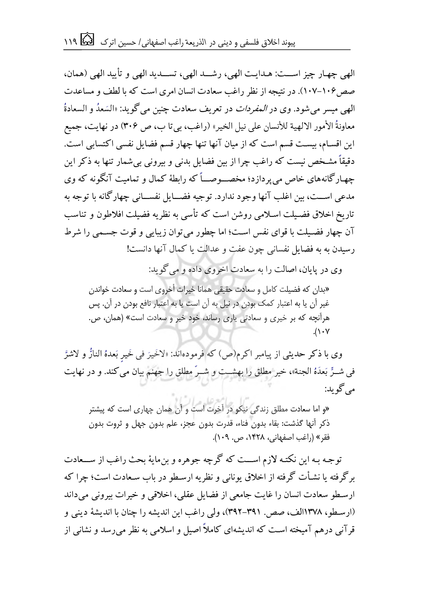الهی چهار چیز اسـت: هـدایـت الهی، رشــد الهی، تســدید الهی و تأیید الهی (همان، صص ۱۰۶-۱۰۷). در نتیجه از نظر راغب سعادت انسان امری است که با لطف و مساعدت الهی میسر میشود. وی در *المفردات* در تعریف سعادت چنین می گوید: «السَعدُ و السعادةُ ֧֦֧֦֧֦֧֦֧֦֧֦֧֦֧֚֬֝֝֜֜ l, ֦֧  $\ddot{\ddot{\ }}$ ï معاونةُ الأمور الالهية للأنسان على نيل الخير» (راغب، بيتا ب، ص ٣٠۶) در نهايت، جميع این اقسـام، بیسـت قسم است که از میان آنها تنها چهار قسم فضایل نفسی اکتسابی است. دقیقاً مشـخص نیست که راغب چرا از بین فضایل بدنی و بیرونی بی شمار تنها به ذکر این چهارگانههای خاص می یردازد؛ مخصــوصـــاً که رابطهٔ کمال و تمامیت آنگونه که وی مدعی است، مین اغلب آنها وجود ندارد. توجیه فضــایل نفســانی چهار گانه با توجه به تاریخ اخلاق فضیلت اسـلامی روشن است که تأسی به نظریه فضیلت افلاطون و تناسب آن چهار فضیلت با قوای نفس است؛ اما چطور می توان زیبایی و قوت جسمی را شرط رسیدن به به فضایل نفسانی چون عفت و عدالت یا کمال آنها دانست!

وی در پایان، اصالت را به سعادت اخروی داده و می گوید:

»بدان که فضیلت کامل و سعادت حقیقی همانا خیرات أخروی است و سعادت خواندن غیر آن یا به اعتبار کمک بودن در نیل به آن است یا به اعتبار نافع بودن در آن. پس هرآنچه که بر خیری و سعادتی یاری رساند، خود خیر و سعادت است« )همان، ص.  $\Lambda$ 

وی با ذکر حدیثی از پیامبر اکرم(ص) که فرمودهاند: «لاَخَیرَ فی خَیرٍ بَعدهُ النارَ و لاشرَّ  $\frac{1}{2}$  $\overline{a}$ ;  $\frac{3}{2}$  $\frac{1}{2}$ ز<br>ڊ í J  $\vdots$ ė .<br>,  $\overline{a}$  $\ddot{\cdot}$ ; فی شــرِّ بَعدَهُ الجنة»، خیر مطلق را بهشـــت و شــرّ مطلق را جهنم بیان می کند. و در نها<u>،</u> í Í  $\frac{1}{2}$ ڊ می گوید:

«و اما سعادت مطلق زندگی نیکو در آخرت است و آن همان چهاری است که پیشتر ذکر آنها گذشت: بقاء بدون فناء، قدرت بدون عجز، علم بدون جهل و ثروت بدون فقر» (راغب اصفهانی، ۱۴۲۸، ص. ۱۰۹).

توجه بـه این نکتـه لازم اســت که گرچه جوهره و بن مایهٔ بحث راغب از ســعادت برگرفته یا نشأت گرفته از اخلاق یونانی و نظریه ارسطو در باب سـعادت است؛ چرا که ارسطو سعادت انسان را غایت جامعی از فضایل عقلی، اخلاقی و خیرات بیرونی می داند (ارسطو، ۱۳۷۸الف، صص. ۳۹۱-۳۹۲)، ولی راغب این اندیشه را چنان با اندیشهٔ دینی و قرآنی درهم آمیخته است که اندیشهای کاملاً اصیل و اسلامی به نظر می رسد و نشانی از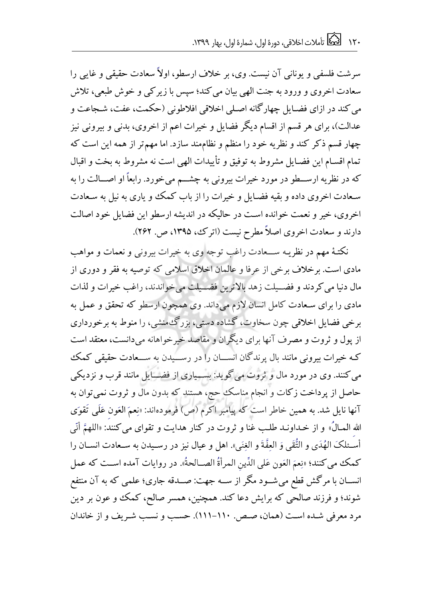سرشت فلسفی و یونانی آن نیست. وی، بر خلاف ارسطو، اولاً سعادت حقیقی و غایی را سعادت اخروی و ورود به جنت الهی بیان می کند؛ سپس با زیر کی و خوش طبعی، تلاش می کند در ازای فضـایل چهار گانه اصـلی اخلاقی افلاطونی (حکمت، عفت، شـجاعت و عدالت)، برای هر قسم از اقسام دیگر فضایل و خیرات اعم از اخروی، بدنی و بیرونی نیز چهار قسم ذکر کند و نظریه خود را منظم و نظاممند سازد. اما مهمتر از همه این است که تمام اقسـام این فضـایل مشروط به توفیق و تأییدات الهی است نه مشروط به بخت و اقبال که در نظریه ارســطو در مورد خیرات بیرونی به چشـــم می خورد. رابعاً او اصـــالت را به سعادت اخروی داده و بقیه فضایل و خیرات را از باب کمک و پاری به نیل به سعادت اخروی، خیر و نعمت خوانده است در حالیکه در اندیشه ارسطو این فضایل خود اصالت دارند و سعادت اخروی اصلاً مطرح نیست (اترک، ۱۳۹۵، ص. ۲۶۲).

نکتهٔ مهم در نظریه ســعادت راغب توجه وی به خیرات بیرونی و نعمات و مواهب مادی است. برخلاف برخی از عرفا و عالمان اخلاق اسلامی که توصیه به فقر و دوری از مال دنیا می کردند و فضــیلت زهد بالاترین فضــیلت می خواندند، راغب خیرات و لذات مادی را برای سعادت کامل انسان لازم می داند. وی همچون ارسطو که تحقق و عمل به برخی فضایل اخلاقی چون سخاوت، گشاده دستی، بزرگ منشی، را منوط به برخورداری از پول و ثروت و مصرف آنها برای دیگران و مقاصد خیر خواهانه می دانست، معتقد است کـه خیرات بیرونی مانند بال پرندگان انســـان را در رســـیدن به ســـعادت حقیقی کمک می کنند. وی در مورد مال و ثروت می گوید: بســیاری از فضـــایل مانند قرب و نزدیکی حاصل از پرداخت زکات و انجام مناسک حج، هستند که بدون مال و ثروت نمی توان به آنها نایل شد. به همین خاطر است که پیامبر اکرم (ص) فرمودهاند: «نِعمَ العَون عَلَمِي تَقوَى الله المـالُ» و از خـداونـد طلـب غنا و ثروت در کنار هدایت و تقوای می کنند: «اللهمَّ أنّی ڋ ֧֘֒ ة أسُـئلکَ الهُدَى و التُّقَى وَ العِفَّةَ و الغِنَى». اهل و عیال نیز در رسـیدن به سـعادت انســان را ì į  $\frac{1}{4}$ ì ì .<br>.  $\overline{a}$  $\ddot{\cdot}$  $\ddot{z}$  $\frac{1}{1}$  $\frac{1}{2}$  $\overline{\phantom{a}}$ كمك مي كنند؛ «نِعمَ العَون عَلى الدِّينِ المرأةُ الصــالحةُ». در روايات آمده اســت كه عمل i  $\ddot{\ddot{\ }}$  $\ddot{\tilde{c}}$ ī  $\overline{\phantom{0}}$ ֧֦֧֦֧֦֧֦֧֦֧֦֧֦֧֦֧֦֧֦֧֦֧֦֧֕֝<br>֧ׅ֜֝֜֜ Ĭ, ć رَ<br>ک į ś ֧֦֧֢֢֧֢֢֧֚֚֚֬֝֝֜ Í  $\ddot{\phantom{0}}$ انســان با مرگش قطع می شــود مگر از ســه جهت: صــدقه جاری؛ علمی که به آن منتفع شوند؛ و فرزند صالحی که برایش دعا کند. همچنین، همسر صالح، کمک و عون بر دین مرد معرفی شـده اسـت (همان، صـص. ١١٠-١١١). حسـب و نسـب شـريف و از خاندان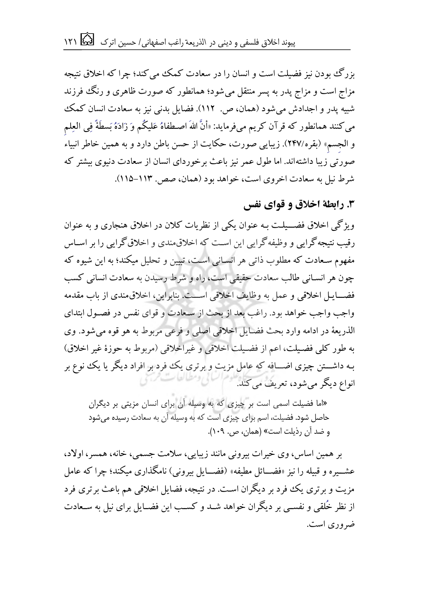بزرگ بودن نیز فضیلت است و انسان را در سعادت کمک می کند؛ چرا که اخلاق نتیجه مزاج است و مزاج پدر به پسر منتقل می شود؛ همانطور که صورت ظاهری و رنگ فرزند شبیه یدر و اجدادش می شود (همان، ص. ١١٢). فضایل بدنی نیز به سعادت انسان کمک می کنند همانطور که قرآن کریم می فرماید: «أنَّ اللهَ اصـطفاهُ عَلیکُم وَ زَادَهُ بَسطَةً فِی العِلم و الجسم» (بقره/۲۴۷). زیبایی صورت، حکایت از حسن باطن دارد و به همین خاطر انبیاء<sup>ً</sup> صورتی زیبا داشتهاند. اما طول عمر نیز باعث برخوردای انسان از سعادت دنیوی بیشتر که شرط نیل به سعادت اخروی است، خواهد بود (همان، صص. ۱۱۳-۱۱۵).

**.3 رابطة اخالق و قوای نفس** 

ویژگی اخلاق فضــیلـت بـه عنوان یکی از نظریات کلان در اخلاق هنجاری و به عنوان رقیب نتیجه گرایی و وظیفه گرایی این است که اخلاق مندی و اخلاق گرایی را بر اسـاس مفهوم سـعادت که مطلوب ذاتی هر انسـانی اسـت، تبیین و تحلیل میکند؛ به این شیوه که چون هر انسـانی طالب سعادت حقیقی است، راه و شرط رسیدن به سعادت انسانی کسب فضـــایــل اخلاقی و عمل به وظایف اخلاقی اســـت. بنابراین، اخلاق مندی از باب مقدمه واجب واجب خواهد بود. راغب بعد از بحث از سـعادت و قوای نفس در فصـول ابتدای الذریعهٔ در ادامه وارد بحث فضایل اخلاقی اصلی و فرعی مربوط به هو قوه می شود. وی به طور کلی فضیلت، اعم از فضیلت اخلاقی و غیراخلاقی (مربوط به حوزهٔ غیر اخلاق) بـه داشــــتن چیزی اضــــافه که عامل مزیت و برتری یک فرد بر افراد دیگر یا یک ننوع بر انواع دیگر میشود، تعریف می کند.

» اما فضیلت اسمی است بر چیزی که به وسیله آن برای انسان مزیتی بر دیگران حاصل شود. فضیلت، اسم برای چیزی است که به وسیله آن به سعادت رسیده شود یم و ضد آن رذیلت است» (همان، ص. ١٠٩).

بر همین اساس، وی خیرات بیرونی مانند زیبایی، سلامت جسمی، خانه، همسر، اولاد، عشــیره و قبیله را نیز «فضـــائل مطیفه» (فضـــایل بیرونی) نامگذاری میکند؛ چرا که عامل مزیت و برتری یک فرد بر دیگران است. در نتیجه، فضایل اخلاقی هم باعث برتری فرد از نظر خُلقی و نفســی بر دیگران خواهد شــد و کســب این فضــایل برای نیل به ســعادت ضروری است.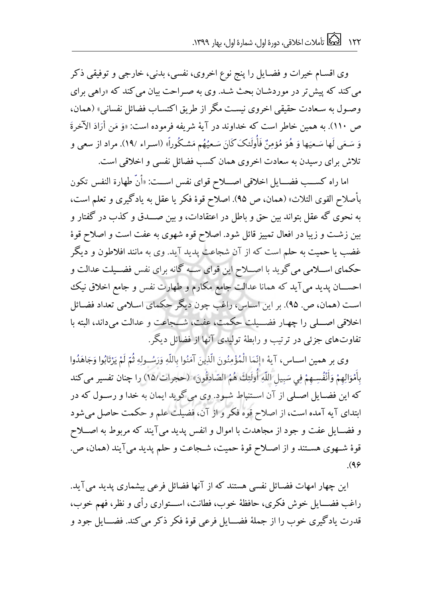وی اقسـام خیرات و فضـایل را پنج نوع اخروی، نفسی، بدنی، خارجی و توفیقی ذکر می کند که پیش تر در موردشـان بحث شـد. وی به صـراحت بیان می کند که «راهی برای وصـول به سـعادت حقیقی اخروی نیسـت مگر از طریق اکتسـاب فضائل نفسانی» (همان، ص ١١٠). به همین خاطر است که خداوند در آیهٔ شریفه فرموده است: «وَ مَن أَرَادَ الآخرةَ  $\ddot{\cdot}$  $\ddot{\phantom{a}}$ .<br>د Í  $\frac{1}{2}$ Ļ ś í .<br>, وَ سَعَى لَها سَعيَها وَ هُوَ مُؤمِنٌ فَأُولَئكَ كَانَ سَعيُهُم مَشكُوراً» (اسـراء /١٩). مراد از سعى و :<br>Í  $\leq$ 5 í ;<br>,  $\vdots$  $\ddot{\phantom{0}}$ í - $\frac{1}{2}$  $\ddot{\phantom{0}}$ ζ  $\leq$  $\overline{\phantom{a}}$  $\ddot{\phantom{0}}$  $\frac{1}{1}$ į ֧֦֧֦֧֢֦֧֦֧֧֦֧֧֦֧֧֦֧֧֦֧֧֦֧֧֦֧֧֦֧֦֧֦֧֦֧֦֧֚֬֜֓֓֓֜֓֕֓֜֓֜֓֜֓֜֓֓  $\frac{1}{2}$ ؋  $\ddot{\phantom{0}}$  $\frac{1}{2}$ :<br>: í .<br>9 ֧֦֧֢֦֧֢֦֧֢֦֧֚֚֚֬ رَ<br>گ ,  $\overline{\phantom{a}}$  $\ddot{\phantom{0}}$  $\frac{1}{2}$ .<br>\* 1  $\frac{1}{1}$ J í **.** , تلاش برای رسیدن به سعادت اخروی همان کسب فضائل نفسی و اخلاقی است.

اما راه کســـب فضـــایل اخلاقی اصـــلاح قوای نفس اســـت: «أنّ طهارة النفس تکون بأصلاح القوی الثلاث» (همان، ص ۹۵). اصلاح قوهٔ فکر یا عقل به یادگیری و تعلم است، به نحوی گه عقل بتواند بین حق و باطل در اعتقادات، و بین صـــدق و کذب در گفتار و بین زشت و زیبا در افعال تمییز قائل شود. اصلاح قوه شهوی به عفت است و اصلاح قوهٔ غضب یا حمیت به حلم است که از آن شجاعت پدید آید. وی به مانند افلاطون و دیگر حکمای اســلامی می گوید با اصــلاح این قوای ســه گانه برای نفس فضــیلت عدالت و احســـان پدید می آید که همانا عدالت جامع مکارم و طهارت نفس و جامع اخلاق نیک است (همان، ص. ۹۵). بر این اساس، راغب چون دیگر حکمای اسلامی تعداد فضائل اخلاقی اصــلی را چهـار فضــيلت حکمت، عفت، شــجاعت و عدالت میداند، البته با تفاوتهای جزئی در ترتیب و رابطهٔ تولیدی آنها از فضائل دیگر.

وی بر همین اســاس، آیهٔ «إنّمَا الْمُؤْمِنُونَ الّذِینَ آمَنُوا باللّهِ وَرَسُــولِهِ ثُمّ لَمْ یَرْتَابُوا وَجَاهَدُوا رَ<br>گ  $\overline{\phantom{0}}$ ĺ ֧֧֓<sup>֓</sup>֧֓ ۮ  $\vdots$ י<br>נ ;  $\frac{1}{2}$ ֦֧ í Į ֧֦֧֢֧֦֧֢֧֦֧֚֬֝֜֜֜֜֜֜  $\ddot{\ddot{\cdot}}$ ڗ  $\ddot{\phantom{1}}$ ļ ֦֧ Ï  $\overline{\phantom{a}}$ í  $\overline{1}$  $\ddot{\phantom{a}}$ <u>د</u> į í  $\ddot{\cdot}$  $\ddot{\zeta}$  $\overline{\phantom{a}}$ .<br>İ j ĺ,  $\ddot{\varsigma}$  $\vdots$ ە<br>l i Ĵ ֘  $\vdots$  $\vdots$ بِامْوَالِهِمْ وَانْفسِـهِمْ فِي سَبِيلِ اللَّهِ اوْلَئِكَ هُمُ الصَّادِقُونَ» (حجرات\1۵) را چنان تفسير مي كند .<br>.  $\overline{a}$ ,<br>.  $\frac{3}{2}$  $\overline{a}$ į .<br>9 ۔<br>آ  $\ddot{\cdot}$ i,  $\ddot{\phantom{0}}$  $\ddot{\ddot{\ }}$ ì i. ֦֧֜֡֜  $\overline{a}$ ֧֖֧֢ׅ֧ׅ֧ׅ֧ׅ֧֚֚֚֚֚֚֚֚֚֚֚֚֚֬֝֝֜֜֓֡֬֓֜֓֡֬֜֓ ֧֧֢֧֢֚֚֚֚֚֬֝֓֓֡֓֓֡֓֡֓֓ زَ  $\ddot{\phantom{0}}$  $\ddot{\phantom{0}}$ í j ĺ  $\overline{\phantom{a}}$  $\overline{\phantom{a}}$ í  $\overline{1}$ í  $\overline{\mathbf{C}}$ ì .<br>\*  $\cdot$  $\overline{\phantom{a}}$ ë ֦֧ Ĵ ì ļ -<br>i که این فضـایل اصـلی از آن اســتنباط شـود. وی می گوید ایمان به خدا و رســول که در ابتدای آیه آمده است، از اصلاح قوه فکر و از آن، فضیلت علم و حکمت حاصل می شود و فضــایل عفت و جود از مجاهدت با اموال و انفس پدید میآیند که مربوط به اصـــلاح قوهٔ شـهوی هسـتند و از اصـلاح قوهٔ حمیت، شـجاعت و حلم پدید می آیند (همان، ص. .(9 $\varphi$ 

این چهار امهات فضـائل نفسی هستند که از آنها فضائل فرعی بیشماری یدید می آید. راغب فضــایل خوش فکری، حافظهٔ خوب، فطانت، اســتواری رأی و نظر، فهم خوب، قدرت یادگیری خوب را از جملهٔ فضـــایل فرعی قوهٔ فکر ذکر می کند. فضـــایل جود و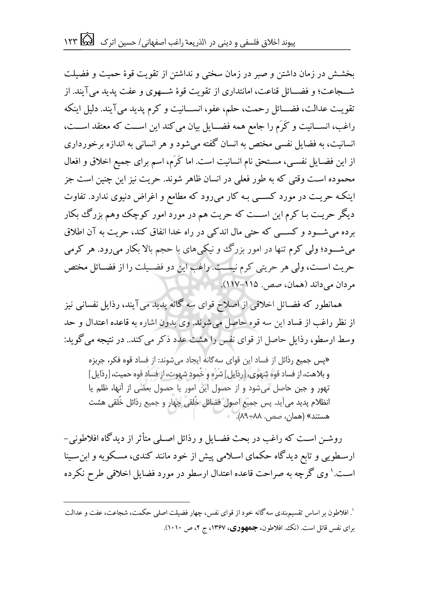بخشش در زمان داشتن و صبر در زمان سختی و نداشتن از تقویت قوهٔ حمیت و فضیلت شــجاعت؛ و فضـــائل قناعت، امانتداری از تقویت قوهٔ شـــهوی و عفت یدید می آیند. از تقویت عدالت، فضـــائل رحمت، حلم، عفو، انســـانیت و کرم پدید می آیند. دلیل اینکه راغب، انســانیت و کَرَم را جامع همه فضـــایل بیان می کند این اســت که معتقد اســت، انسانیت، به فضایل نفسی مختص به انسان گفته می شود و هر انسانی به اندازه برخورداری از این فضـایل نفسـی، مسـتحق نام انسانیت است. اما کَرَم، اسم برای جمیع اخلاق و افعال محموده است وقتی که به طور فعلی در انسان ظاهر شوند. حریت نیز این چنین است جز اینکه حریت در مورد کســـی بـه کار می رود که مطامع و اغراض دنیوی ندارد. تفاوت دیگر حریت بـا کرم این اســـت که حریت هم در مورد امور کوچک وهم بزرگ بکار برده می شـود و کســی که حتی مال اندکی در راه خدا انفاق کند، حریت به آن اطلاق می شـــود؛ ولی کرم تنها در امور بزرگ و نیکی های با حجم بالا بکار میرود. هر کرمی حریت است، ولی هر حریتی کرم نیست. راغب این دو فضـیلت را از فضـائل مختص مردان می داند (همان، صص. ۱۱۵-۱۱۷).

همانطور که فضـائل اخلاقی از اصلاح قوای سه گانه پدید میآیند، رذایل نفسانی نیز از نظر راغب از فساد این سه قوه حاصل می شوند. وی بدون اشاره به قاعده اعتدال و حد وسط ارسطو، رذایل حاصل از قوای نفس را هشت عدد ذکر می کند.. در نتیجه می گو ید:

»پس جمیع رذائل از فساد این قوای سهگانه ایجاد میشوند: از فساد قوه فکر، جربزه و بلاهت، از فساد قوه شهوی، [رذایل] شَرَه و خُمود شهوت، از فساد قوه حمیت، [رذایل] تهور و جبن حاصل میشود و از حصول این امور یا حصول بعضی از آنها، ظلم یا انظلام پدید می آید. پس جمیع اصول فضائل خُلقی چهار و جمیع رذائل خُلقی هشت هستند« )همان، صص. 11-11(.

روشـن اسـت که راغب در بحث فضـایل و رذائل اصـلی متأثر از دیدگاه افلاطونی – ارسطویی و تابع دیدگاه حکمای اسلامی پیش از خود مانند کندی، مسکو یه و ابن سینا اسـت.' وی گرچه به صراحت قاعده اعتدال ارسطو در مورد فضایل اخلاقی طرح نکرده

 $\overline{a}$ 

<sup>&#</sup>x27;. افلاطون بر اساس تقسیم.بندی سه گانه خود از قوای نفس، چهار فضیلت اصلی حکمت، شجاعت، عفت و عدالت برای نفس قائل است. (نک. افلاطون، **جمهوری**، ۱۳۶۷، ج ۲، ص ۱۰۱۰).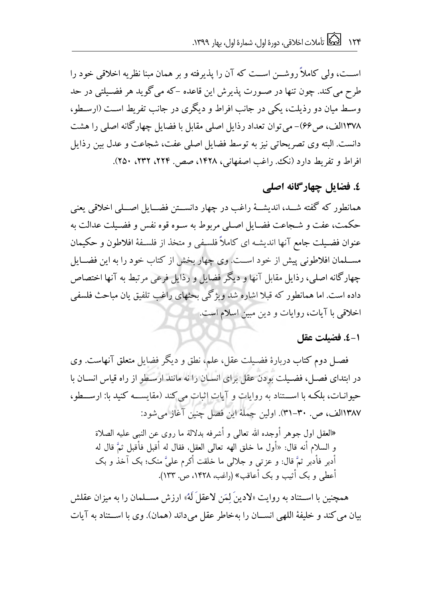اســت، ولی کاملاً روشــن اســت که آن را پذیرفته و بر همان مبنا نظریه اخلاقی خود را طرح می کند. چون تنها در صـورت پذیرش این قاعده -که می گوید هر فضـیلتی در حد وسط میان دو رذیلت، یکی در جانب افراط و دیگری در جانب تفریط است (ارسطو، ۱۳۷۸الف، ص49)- می توان تعداد رذایل اصلی مقابل با فضایل چهارگانه اصلی را هشت دانست. البته وی تصریحاتی نیز به توسط فضایل اصلی عفت، شجاعت و عدل بین رذایل افراط و تفریط دارد (نک. راغب اصفهانی، ۱۴۲۸، صص. ۲۲۴، ۲۳۲، ۲۵۰).

**.4 فضایل چهارگانه اصلی** 

همانطور که گفته شـــد، اندیشـــهٔ راغب در چهار دانســـتن فضــــایل اصـــلی اخلاقی یعنی حکمت، عفت و شـجاعت فضـایل اصـلی مربوط به سـوه قوه نفس و فضـیلت عدالت به عنوان فضـیلت جامع آنها اندیشـه ای کاملاً فلسـفی و متخذ از فلسـفهٔ افلاطون و حکیمان مســلمان افلاطونی پیش از خود اســت. وی چهار بخش از کتاب خود را به این فضــایل جهارگانه اصلی، رذایل مقابل آنها و دیگر فضایل و رذایل فرعی مرتبط به آنها اختصاص داده است. اما همانطور که قبلا اشاره شد ویژگی بحثهای راغب تلفیق یان مباحث فلسفی اخلاقی با آیات، روایات و دین مبین اسلام است.

### **1-4 . فضیلت عقل**

فصـل دوم کتاب دربارهٔ فضـیلت عقل، علم، نطق و دیگر فضایل متعلق آنهاست. وی در ابتدای فصـل، فضـیلت بودن عقل برای انسـان را نه مانند ارسـطو از راه قیاس انســان با حیوانیات، بلکه با استناد به روایات و آیات اثبات می کند (مقایسه کنید با: ارسطو، ۱۳۸۷الف، ص. ۳۰-۳۱). اولین جملهٔ این فصل چنین آغاز می شود:

«العقل اول جوهر أوجده الله تعالی و أشرفه بدلالة ما روی عن النبی علیه الصلاة و السلام أنه قال: «أول ما خلق الهه تعالی العقل، فقال له أقبل فأقبل ثمَّ قال له أدبر فأدبر ثمَّ قال: و عزتبی و جلالبی ما خلقت أکرم علیَّ منک؛ بک آخذ و بک أعطي و بک أثيب و بک أعاقب» (راغب، ١۴۲۸، ص. ١٣٣).

همچنین با اســتناد به روایت «لادینَ لِمَن لاعقلَ لَهُ» ارزش مســلمان را به میزان عقلش بیان می کند و خلیفهٔ اللهی انســان را بهخاطر عقل می داند (همان). وی با اســتناد به آیات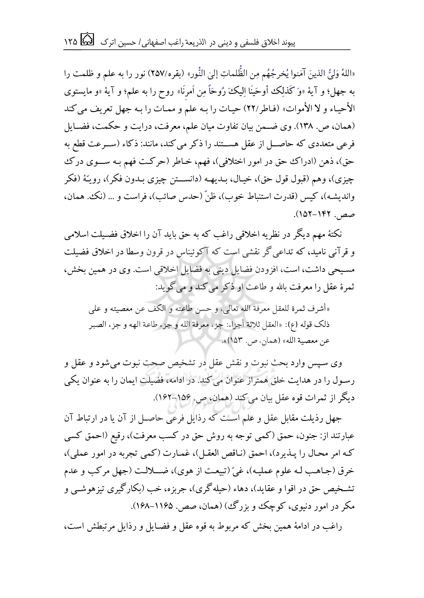«اللَّهُ وَلَّيُّ الَّذِينَ آمَنُوا يُخْرِجُهُم مِن الظُّلماتِ إلَىَ النُّورِ» (بقره/٢٥٧) نور را به علم و ظلمت را ֦֧֦֧֦֧֦֧֦֧֦֧֦֧  $\ddot{ }$  $\overline{\phantom{a}}$ j i  $\ddot{\phantom{0}}$  $\vdots$ ļ ۹<br>.  $\frac{1}{2}$ ;<br>, ź ֧֚֚֚֓<br>֛ ۮؚ ś í  $\ddot{\phantom{0}}$  $\frac{1}{2}$  $\ddot{\phantom{0}}$ j .<br>, ļ į به جهل؛ و آيهٔ «وَ کَذَلِک أوحَيْنَا اِلْيَکَ رُوحَاً مِن اَمرِنَا» روح را به علم؛ و آيهٔ «و مايستوی الأحیاء و لا الأموات» (فـاطر/٢٢) حیـات را بـه علم و ممـات را بـه جهل تعریف می کند (همان، ص. ١٣٨). وی ضمن بیان تفاوت میان علم، معرفت، درایت و حکمت، فضـایل فرعی متعددی که حاصـــل از عقل هســـتند را ذکر می کند، مانند: ذکاء (ســـرعت قطع به حق)، ذهن (ادراک حق در امور اختلافی)، فهم، خـاطر (حرکـت فهم بـه ســـوی درک چیزی)، وهم (قبول قول حق)، خیـال، بـدیهـه (دانســـتن چیزی بـدون فکر)، رویـّـهٔ (فکر واندیشه)، کیس (قدرت استنباط خوب)، ظنّ (حدس صائب)، فراست و … (نک، همان، صص. 125-115(.

نکتهٔ مهم دیگر در نظریه اخلاقی راغب که به حق باید آن را اخلاق فضیلت اسلامی و قرآنی نامید، که تداعی گر نقشی است که آکوئیناس در قرون وسطا در اخلاق فضیلت مسیحی داشت، است، افزودن فضایل دینی به فضایل اخلاقی است. وی در همین بخش، ثمرهٔ عقل را معرفت بالله و طاعت او ذکر می کند و می گوید:

«أشرف ثمرة للعقل معرفة الله تعالی، و حسن طاعته و الکف عن معصیته و علی ذلك قوله (ع): «العقل ثلاثة أجزاء: جزء معرفة الله و جزء طاعة الهه و جزء الصبر عن معصية الله» (همان، ص. ١۵٣)».

وی سپس وارد بحث نبوت و نقش عقل در تشخیص صحت نبوت می شود و عقل و رسول را در هدایت خلق همتراز عنوان می کند. در ادامه، فضیلت ایمان را به عنوان یکی دیگر از ثمرات قوه عقل بیان می کند (همان، ص. ۱۵۶–۱۶۲).

جهل رذیلت مقابل عقل و علم است که رذایل فرعی حاصـل از آن یا در ارتباط آن عبارتند از: جنون، حمق (کمی توجه به روش حق در کسب معرفت)، رقیع (احمق کسی که امر محال را پـذیرد)، احمق (نـاقص العقـل)، غمـارت (کمی تجربه در امور عملی)، خرق (جـاهـب لـه علوم عملیـه)، غیّ (تبیعـت از هوی)، ضـــلالـت (جهل مرکب و عدم تشـخیص حق در اقوا و عقاید)، دهاء (حیله گری)، جربزه، خب (بکار گیری تیزهوشــی و مکر در امور دنیوی، کوچک و بزرگ )(همان، صص. ۱۱۶۵–۱۶۸).

راغب در ادامهٔ همین بخش که مربوط به قوه عقل و فضـایل و رذایل مرتبطش است،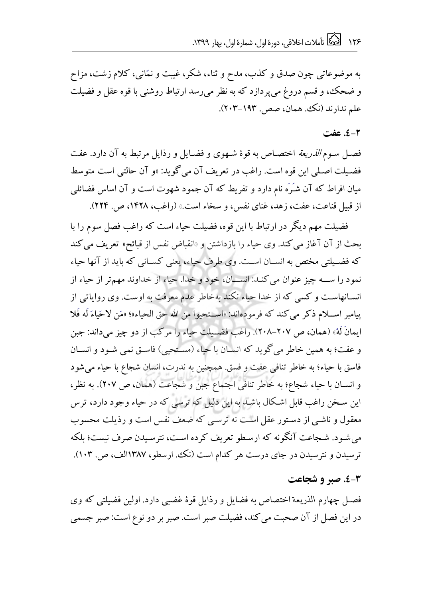به موضوعاتی چون صدق و کذب، مدح و ثناء، شکر، غیبت و نمّانبی، کلام زشت، مزاح و ضحک، و قسم دروغ می پردازد که به نظر می رسد ارتباط روشنی با قوه عقل و فضیلت علم ندار ند (نک . همان، صص . ۱۹۳-۲۰۳).

### **. عفت 2-4**

فصل سوم *الذریعة* اختصاص به قوهٔ شـهوی و فضـایل و رذایل مرتبط به آن دارد. عفت فضیلت اصلی این قوه است. راغب در تعریف آن می گوید: «و آن حالتی است متوسط میان افراط که آن شـَرَه نام دارد و تفریط که آن جمود شهوت است و آن اساس فضائلی از قبیل قناعت، عفت، زهد، غنای نفس، و سخاء است.» (راغب، ۱۴۲۸، ص. ۲۲۴).

فضیلت مهم دیگر در ارتباط با این قوه، فضیلت حیاء است که راغب فصل سوم را با بحث از آن آغاز می کند. وی حیاء را بازداشتن و «انقباض نفس از قبائح» تعریف می کند که فضبیلتی مختص به انســان اسـت. وی طرف حیاء، یعنی کســانی که باید از آنها حیاء نمود را ســه چیز عنوان می کنـد: انســان، خود و خدا. حیاء از خداوند مهمتر از حیاء از انسانهاست و کسی که از خدا حیاء نکند بهخاطر عدم معرفت به اوست. وی روایاتی از پیامبر اســلام ذکر می کند که فرمودهاند: «اســتحیوا من الله حق الحیاء»؛ «مَن لاحَیاءَ لَه فَلا ایمانَ لَهُ» (همان، ص ٢٠٧-٢٠٨). راغب فضیلت حیاء را مرکب از دو چیز می داند: جبن و عفت؛ به همین خاطر می گو بد که انسان با جیاء (مستحی) فاستی نمی شـود و انسـان فاسق با حیاء؛ به خاطر تنافی عفت و فسق. همچنین به ندرت، انسان شجاع با حیاء می شود و انسان با حیاء شجاع؛ به خاطر تنافی اجتماع جبن و شجاعت (همان، ص ٢٠٧). به نظر، این سـخن راغب قابل اشـکال باشـد به این دلیل که ترسی که در حیاء وجود دارد، ترس معقول و ناشبی از دستور عقل است نه ترسبی که ضعف نفس است و رذیلت محسوب می شـود. شـجاعت آنگونه که ارسـطو تعریف کرده اسـت، نترسـیدن صرف نیست؛ بلکه ترسیدن و نترسیدن در جای درست هر کدام است (نک، ارسطو، ۱۳۸۷الف، ص. ۱۰۳).

#### **3-4 . صبر و شجاعت**

فصـل چهارم الذریعة اختصاص به فضایل و رذایل قوهٔ غضبی دارد. اولین فضیلتی که وی در این فصل از آن صحبت می کند، فضیلت صبر است. صبر بر دو نوع است: صبر جسمی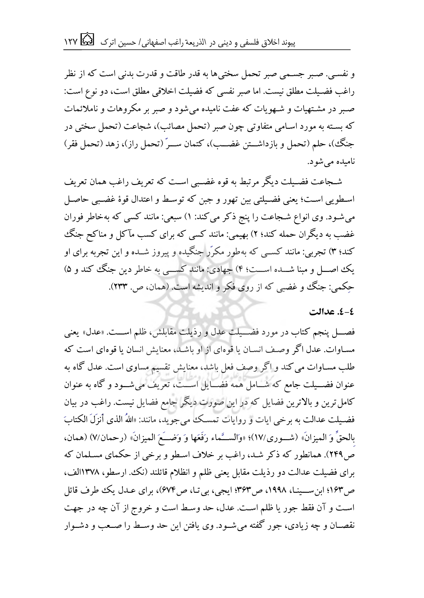و نفسی. صبر جسمی صبر تحمل سختی ها به قدر طاقت و قدرت بدنی است که از نظر راغب فضیلت مطلق نیست. اما صبر نفسی که فضیلت اخلاقی مطلق است، دو نوع است: صبر در مشتهیات و شـهویات که عفت نامیده می شود و صبر بر مکروهات و ناملائمات که بسته به مورد اسـامی متفاوتی چون صبر (تحمل مصائب)، شجاعت (تحمل سختی در جنگ)، حلم (تحمل و بازداشــتن غضــب)، کتمان ســرٌ (تحمل راز)، زهد (تحمل فقر) ظاییده ییشیر.

شجاعت فضــلت دیگر مرتبط به قوه غضــبی اسـت که تعریف راغب همان تعریف اسطویی است؛ یعنی فضیلتی بین تهور و جبن که توسط و اعتدال قوهٔ غضبی حاصل می شـود. وی انواع شـجاعت را پنج ذکر می کند: ۱) سبعی: مانند کسی که بهخاطر فوران غضب به دیگران حمله کند؛ ۲) بهیمی: مانند کسی که برای کسب مآکل و مناکح جنگ کند؛ ۳) تجربی: مانند کسبی که بهطور مکرّر جنگیده و پیروز شـیده و این تجربه برای او یک اصال و مینا شــده اســت؛ ۴) جهادی: مانند کســی به خاطر دین جنگ کند و ۵) حکمی: جنگ و غضبی که از روی فکر و اندیشه است. (همان، ص. ۲۳۳).

#### <u>٤-٤. عدالت</u>

فصــــل پنجم کتاب در مورد فضــــيلت عدل و رذيلت مقابلش، ظلم اســــت. «عدل» يعني مساوات. عدل اگر وصف انسان با قوهای از او باشد، معنایش انسان با قوهای است که طلب مســاوات می کند و اگر وصف فعل باشد، معنایش تقسیم مساوی است. عدل گاه به عنوان فضـــیلت جامع که شـــامل همه فضـــایل اســـت، تعریف می شـــود و گاه به عنوان کامل ترین و بالاترین فضایل که در این صورت دیگر جامع فضایل نیست. راغب در بیان فضیلت عدالت به برخی ایات و روایات تمسک می جوید، مانند: «اللهُ الذی أنزِلَ الکتابَ بالحقِّ وَ المیزانَ» (شـوری/١٧)؛ «والســـَّماء رَفَعَها وَ وَضـــَعَ المیزانَ» (رحمان/٧) (همان، ص٢۴٩). همانطور که ذکر شـد، راغب بر خلاف اسـطو و برخی از حکمای مسـلمان که برای فضیلت عدالت دو رذیلت مقابل یعنی ظلم و انظلام قائلند (نک، ارسطو، ۱۳۷۸الف، ص194؛ ابن ســینـا، ۱۹۹۸، ص۳۶۳؛ ایجی، بی تـا، ص۶۷۴)، برای عـدل یک طرف قائل است و آن فقط جور یا ظلم است. عدل، حد وسط است و خروج از آن چه در جهت نقصـان و چه زیادی، جور گفته می شــود. وی یافتن این حد وســط را صــعب و دشــوار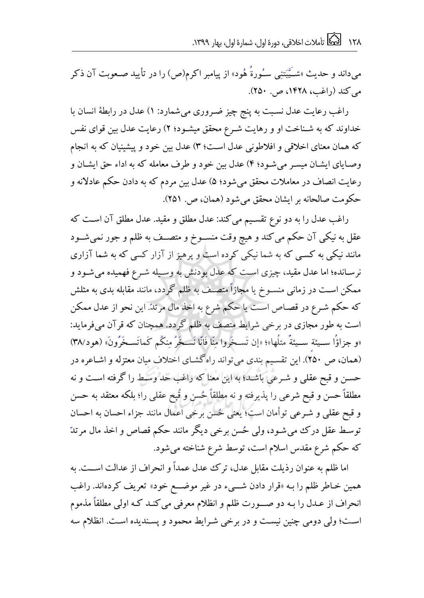می،داند و حدیث «شــَیّبتنِی سـُورةَ هُود» از پیامبر اکرم(ص) را در تأیید صـعوبت آن ذکر می کند (راغب، ۱۴۲۸، ص. ۲۵۰).

راغب رعایت عدل نسبت به پنج چیز ضروری می شمارد: ۱) عدل در رابطهٔ انسان با خداوند که به شـناخت او و رهایت شـرع محقق میشـود؛ ۲) رعایت عدل بین قوای نفس که همان معنای اخلاقی و افلاطونی عدل است؛ ۳) عدل بین خود و پیشینیان که به انجام وصایای ایشان میسر می شود؛ ۴) عدل بین خود و طرف معامله که به اداء حق ایشان و رعایت انصاف در معاملات محقق میشود؛ ۵) عدل بین مردم که به دادن حکم عادلانه و حکومت صالحانه بر ایشان محقق می شود (همان، ص. ۲۵۱).

راغب عدل را به دو نوع تقسیم می کند: عدل مطلق و مقید. عدل مطلق آن است که عقل به نیکی آن حکم می کند و هیچ وقت منســوخ و متصــف به ظلم و جور نمی شــود مانند نیکی به کسبی که به شما نیکی کرده است و پرهیز از آزار کسی که به شما آزاری نرسانده؛ اما عدل مقید، چیزی است که عدل بودنش به وسـیله شـرع فهمیده می شـود و ممکن اسـت در زمانی منســوخ یا مجازاً متصــف به ظلم گردد، مانند مقابله بدی به مثلش که حکم شـرع در قصـاص اسـت یا حکم شرع به اخذ مال مرتدّ. این نحو از عدل ممکن است به طور مجازی در برخی شرایط متصف به ظلم گردد. همچنان که قرآن می فرماید: «و جزاؤًا ســيئة ســيئةٌ مثلُها»؛ «إن تَســخَروا مِنّا فَانّا نَسـخَرُ مِنكُم كَماتَسـخَرُونَ» (هود\٣٨) (همان، ص ٢٥٠). این تقسیم بندی می تواند راهگشـای اختلاف میان معتزله و اشـاعره در حسن و قبح عقلی و شرعی باشد؛ به این معنا که راغب حد وسط را گرفته است و نه مطلقاً حسن و قبح شرعی را پذیرفته و نه مطلقاً حُسن و قُبح عقلی را؛ بلکه معتقد به حسن و قبح عقلی و شرعی توأمان است؛ یعنی حُسن برخی اعمال مانند جزاء احسان به احسان توسط عقل درک می شـود، ولی حُسن برخی دیگر مانند حکم قصاص و اخذ مال مرتدّ که حکم شرع مقدس اسلام است، توسط شرع شناخته می شود.

اما ظلم به عنوان رذیلت مقابل عدل، ترک عدل عمداً و انحراف از عدالت اســت. به همین خاطر ظلم را بـه «قرار دادن شـــیء در غیر موضـــع خود» تعریف کردهاند. راغب انحراف از عـدل را بـه دو صـــورت ظلم و انظلام معرفی می کنـد کـه اولی مطلقاً مذموم است؛ ولی دومی چنین نیست و در برخی شرایط محمود و پسندیده است. انظلام سه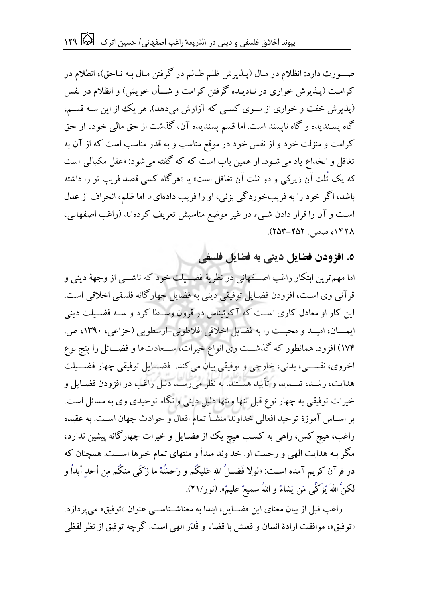صــورت دارد: انظلام در مـال (پــذيرش ظلم ظــالم در گرفتن مـال بــه نــاحق)، انظلام در کرامت (پـذیرش خواری در نـادیـده گرفتن کرامت و شـــأن خویش) و انظلام در نفس (پذیرش خفت و خواری از سوی کسی که آزارش می دهد). هر یک از این سـه قسـم، گاه پسندیده و گاه ناپسند است. اما قسم پسندیده آن، گذشت از حق مالی خود، از حق کرامت و منزلت خود و از نفس خود در موقع مناسب و به قدر مناسب است که از آن به تغافل و انخداع یاد می شـود. از همین باب است که که گفته می شود: «عقل مکیالی است که یک ثُلث آن زیرکی و دو ثلث آن تغافل است» یا «هرگاه کسی قصد فریب تو را داشته باشد، اگر خود را به فریبخوردگی بزنی، او را فریب دادهای». اما ظلم، انحراف از عدل است و آن را قرار دادن شبیء در غیر موضع مناسبش تعریف کردهاند (راغب اصفهانی، ۰۱۴۲۸ صص. ۲۵۲-۲۵۳).

**.5 افزودن فضایل دینی به فضایل فلسفی**

اما مهم ترین ابتکار راغب اصــفهانی در نظریهٔ فضــیلت خود که ناشــی از وجههٔ دینی و قرآنی وی است، افزودن فضایل توفیقی دینی به فضایل چهارگانه فلسفی اخلاقی است. این کار او معادل کاری اســت که آکوئیناس در قرون وســطا کرد و ســه فضــیلت دینی ایعسان، امیسد و محبت را به فضایل اخلاقی افلاطونی-ارسطویی (خزاعی، ۱۳۹۰، ص. ۱۷۴) افزود. همانطور که گذشـــت وی انواع خیرات، ســـعادتها و فضـــائل را پنج نوع اخروی، نفســی، بدنی، خارجی و توفیقی بیان می کند. فضــایل توفیقی چهار فضـــیلت هدایت، رشـد، تسـدید و تأیید هسـتند. به نظر می رسـد دلیل راغب در افزودن فضـایل و خیرات توفیقی به چهار نوع قبل تنها وتنها دلیل دینی و نگاه توحیدی وی به مسائل است. بر اسـاس آموزهٔ توحید افعالی خداوند منشــأ تمام افعال و حوادث جهان اســت. به عقیده راغب، هیچ کس، راهی به کسب هیچ یک از فضـایل و خیرات چهارگانه پیشین ندارد، مگر بـه هدایت الهی و رحمت او. خداوند مبدأ و منتهای تمام خیرها اســـت. همچنان که در قرآن کریم آمده اســت: «لولا فَضــلُ الله عَلیکُم و رَحمَتُهُ ما زَکَـی منکُم مِن أحدٍ أبداً و لکنَّ اللهَ يُزكِّي مَن يَشاءُ و اللهُ سميعٌ عليمٌ». (نور/۲۱).

راغب قبل از بیان معنای این فضــایل، ابتدا به معناشــناســی عنوان «توفیق» می پردازد. «توفیق»، موافقت ارادهٔ انسان و فعلش با قضاء و قَدَر الهی است. گرچه توفیق از نظر لفظی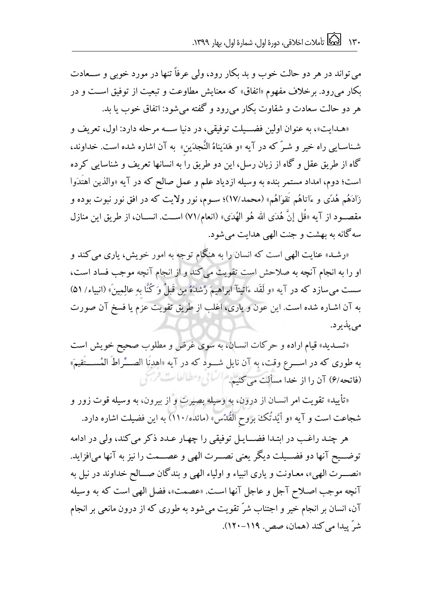می تواند در هر دو حالت خوب و بد بکار رود، ولی عرفاً تنها در مورد خوبی و ســعادت بکار می رود. برخلاف مفهوم «اتفاق» که معنایش مطاوعت و تبعیت از توفیق اســت و در هر دو حالت سعادت و شقاوت بکار می رود و گفته می شود: اتفاق خوب یا بد.

«هدایت»، به عنوان اولین فضــيلت توفيقي، در دنيا ســه مرحله دارد: اول، تعريف و شـناسـایی راه خیر و شـرّ که در آیه «و هَدَیناهُ النَّجدَین» به آن اشاره شده است. خداوند، گاه از طریق عقل و گاه از زبان رسل، این دو طریق را به انسانها تعریف و شناسایی کرده است؛ دوم، امداد مستمر بنده به وسیله ازدیاد علم و عمل صالح که در آیه «والذین اهتَدَوا زَادَهُم هُدًى و ءَاتاهُم تَقوَاهُم» (محمد/١٧)؛ ســوم، نور ولایت که در افق نور نبوت بوده و مقصــود از آیه «قُل إنَّ هُدَى الله هُو الهُدَى» (انعام/٧١) اســت. انســان، از طریق این منازل سه گانه به بهشت و جنت الهی هدایت می شود.

«رشـد» عنایت الهی است که انسان را به هنگام توجه به امور خویش، یاری می کند و او را به انجام آنچه به صلاحش است تقویت می کند و از انجام آنچه موجب فساد است، سست می سازد که در آیه «و لَقَد ءَاتينآ ابراهيمَ رُشدَهُ مِن قَبلُ وَ کُنَّا بهِ عالِمِينَ» (انبياء/ ۵۱) به آن اشـاره شده است. این عون و یاری، اغلب از طریق تقویت عزم یا فسخ آن صورت می پذیر د.

«تسدید» قیام اراده و حرکات انسان، به سوی غرض و مطلوب صحیح خویش است به طوری که در اســـرع وقت، به آن نایل شـــود که در آیه «اهدِنَا الصــــّراطَ المُســــتَقيمَ» (فاتحه/۶) آن را از خدا مسألت می کنیم. السالی ومطالعات فرسی

«تأیید» تقویت امر انسـان از درون، به وسیله بصیرت و از بیرون، به وسیله قوت زور و شجاعت است و آیه «و أَيَّدتُكَ بروح القُدُس» (مائده/۱۱۰) به این فضیلت اشاره دارد.

هر چنـد راغـب در ابتـدا فضـــايـل توفيقی را چهـار عـدد ذكر می كند، ولی در ادامه توضــیح آنها دو فضــیلت دیگر یعنی نصــرت الهی و عصــمت را نیز به آنها می افزاید. «نصـــرت الهی»، معـاونت و یاری انبیاء و اولیاء الهی و بندگان صـــالح خداوند در نیل به آنچه موجب اصلاح آجل و عاجل آنها است. «عصمت»، فضل الهی است که به وسیله آن، انسان بر انجام خیر و اجتناب شرّ تقویت می شود به طوری که از درون مانعی بر انجام شر پیدا می کند (همان، صص. ۱۱۹-۱۲۰).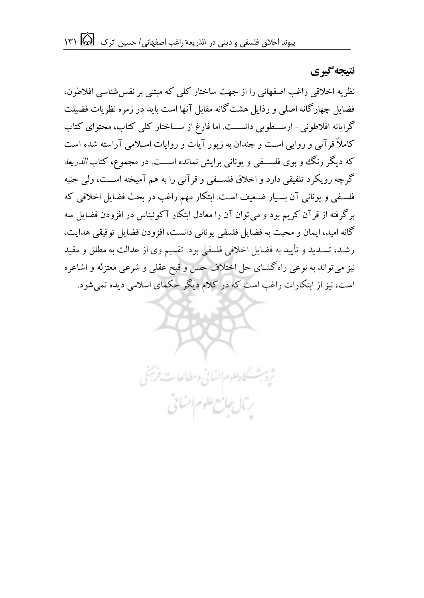**گیرینتیجه**

نظریه اخلاقی راغب اصفهانی را از جهت ساختار کلی که مبتنی بر نفس شناسی افلاطون، فضایل چهارگانه اصلی و رذایل هشت گانه مقابل آنها است باید در زمره نظریات فضیلت گرایانه افلاطونی - ارسطویی دانسیت. اما فارغ از سیاختار کلی کتاب، محتوای کتاب کاملاً قرآنی و روایی است و چندان به زیور آیات و روایات اسلامی آراسته شده است که دیگر رنگ و بوی فلســفی و یونانی برایش نمانده اســت. در مجموع، کتاب *الذریعة* گر چه رو یکرد تلفیقی دارد و اخلاق فلسیفی و قرآنی را به هم آمیخته است، ولی جنبه فلسفی و یونانی آن بسیار ضعیف است. ابتکار مهم راغب در بحث فضایل اخلاقی که برگرفته از قرآن کریم بود و می توان آن را معادل ابتکار آکوئیناس در افزودن فضایل سه گانه امید، ایمان و محبت به فضایل فلسفی یونانی دانست، افزودن فضایل توفیقی هدایت، رشـد، تسـدید و تأیید به فضایل اخلاقی فلسفی بود. تقسیم وی از عدالت به مطلق و مقید نیز می تواند به نوعی راه گشای حل اختلاف حسن و قبح عقلی و شرعی معتزله و اشاعره است، نیز از ابتکارات راغب است که در کلام دیگر حکمای اسلامی دیده نمی شود.

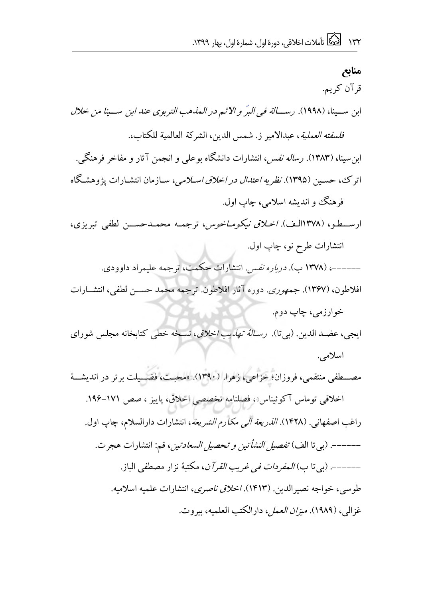**منابع** قر آن کریم. ابن سسينا، (١٩٩٨). رس*سالة في البرّ و الا ث*م در *المذهب التربوى عند ابن* سسي*نا من خلال فلسفته العملية*، عبدالامير ز. شمس الدين، الشركة العالمية للكتاب. ابن سینا، (۱۳۸۳). رس*اله نفس*، انتشارات دانشگاه بوعلی و انجمن آثار و مفاخر فرهنگی. اترک، حسـین (۱۳۹۵). *نظریه اعتدال در اخلاق اسـلامی*، سـازمان انتشـارات یژوهشـگاه فر هنگ و اندیشه اسلامی، چاپ اول. ارسطو، (۱۳۷۸الف). *اخلاق نیکوماخوس،* ترجمه محمـدحســن لطفى تبریزى، انتشارات طرح نو، چاپ اول. ------، (۱۳۷۸ ب). *درباره نفس.* انتشارات حکمت، ترجمه علیمراد داوودی. افلاطون، (۱۳۶۷). جمه*وری.* دوره آثار افلاطون. ترجمه محمد حسـن لطفی، انتشــارات خوارزمی، چاپ دوم. ایجی، عضد الدین. (بی تا). ب*رسالهٔ تهذیب اخلاق*، نسخه خطی کتابخانه مجلس شورای اسلامی. مصــطفی منتقمی، فروزان؛ خزاعی، زهرا. (۱۳۹۰). «محبت، فضــیلت برتر در اندیشــهٔ اخلاقی توماس آکوئیناس»، فصلنامه تخصصی اخلاق، پاییز ، صص ١٧١-١٩۶. راغب اصفهانی. (۱۴۲۸). *الذریعة الی مکارم الشریعة*، انتشارات دارالسلام، چاپ اول. ------. (بی تا الف) *تفصیل النشأتین و تحصیل السعادتین*، قم: انتشارات هجرت. ------. (بی تا ب*) المفردات فی غریب القر آن*، مكتبهٔ نزار مصطفی الباز. طوسی، خواجه نصیرالدین. (۱۴۱۳). *اخلاق ناصری*، انتشارات علمیه اسلامیه. غزالی، (۱۹۸۹). *میزان العمل،* دارالکتب العلمیه، بیروت.